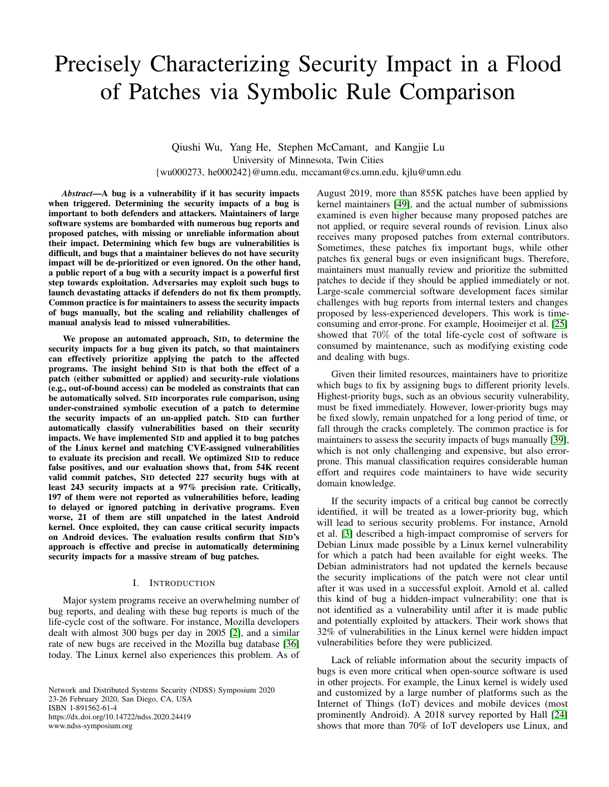# Precisely Characterizing Security Impact in a Flood of Patches via Symbolic Rule Comparison

Qiushi Wu, Yang He, Stephen McCamant, and Kangjie Lu University of Minnesota, Twin Cities {wu000273, he000242}@umn.edu, mccamant@cs.umn.edu, kjlu@umn.edu

*Abstract*—A bug is a vulnerability if it has security impacts when triggered. Determining the security impacts of a bug is important to both defenders and attackers. Maintainers of large software systems are bombarded with numerous bug reports and proposed patches, with missing or unreliable information about their impact. Determining which few bugs are vulnerabilities is difficult, and bugs that a maintainer believes do not have security impact will be de-prioritized or even ignored. On the other hand, a public report of a bug with a security impact is a powerful first step towards exploitation. Adversaries may exploit such bugs to launch devastating attacks if defenders do not fix them promptly. Common practice is for maintainers to assess the security impacts of bugs manually, but the scaling and reliability challenges of manual analysis lead to missed vulnerabilities.

We propose an automated approach, SID, to determine the security impacts for a bug given its patch, so that maintainers can effectively prioritize applying the patch to the affected programs. The insight behind SID is that both the effect of a patch (either submitted or applied) and security-rule violations (e.g., out-of-bound access) can be modeled as constraints that can be automatically solved. SID incorporates rule comparison, using under-constrained symbolic execution of a patch to determine the security impacts of an un-applied patch. SID can further automatically classify vulnerabilities based on their security impacts. We have implemented SID and applied it to bug patches of the Linux kernel and matching CVE-assigned vulnerabilities to evaluate its precision and recall. We optimized SID to reduce false positives, and our evaluation shows that, from 54K recent valid commit patches, SID detected 227 security bugs with at least 243 security impacts at a 97% precision rate. Critically, 197 of them were not reported as vulnerabilities before, leading to delayed or ignored patching in derivative programs. Even worse, 21 of them are still unpatched in the latest Android kernel. Once exploited, they can cause critical security impacts on Android devices. The evaluation results confirm that SID's approach is effective and precise in automatically determining security impacts for a massive stream of bug patches.

# I. INTRODUCTION

Major system programs receive an overwhelming number of bug reports, and dealing with these bug reports is much of the life-cycle cost of the software. For instance, Mozilla developers dealt with almost 300 bugs per day in 2005 [\[2\]](#page-15-0), and a similar rate of new bugs are received in the Mozilla bug database [\[36\]](#page-16-0) today. The Linux kernel also experiences this problem. As of

Network and Distributed Systems Security (NDSS) Symposium 2020 23-26 February 2020, San Diego, CA, USA ISBN 1-891562-61-4 https://dx.doi.org/10.14722/ndss.2020.24419 www.ndss-symposium.org

August 2019, more than 855K patches have been applied by kernel maintainers [\[49\]](#page-16-1), and the actual number of submissions examined is even higher because many proposed patches are not applied, or require several rounds of revision. Linux also receives many proposed patches from external contributors. Sometimes, these patches fix important bugs, while other patches fix general bugs or even insignificant bugs. Therefore, maintainers must manually review and prioritize the submitted patches to decide if they should be applied immediately or not. Large-scale commercial software development faces similar challenges with bug reports from internal testers and changes proposed by less-experienced developers. This work is timeconsuming and error-prone. For example, Hooimeijer et al. [\[25\]](#page-15-1) showed that 70% of the total life-cycle cost of software is consumed by maintenance, such as modifying existing code and dealing with bugs.

Given their limited resources, maintainers have to prioritize which bugs to fix by assigning bugs to different priority levels. Highest-priority bugs, such as an obvious security vulnerability, must be fixed immediately. However, lower-priority bugs may be fixed slowly, remain unpatched for a long period of time, or fall through the cracks completely. The common practice is for maintainers to assess the security impacts of bugs manually [\[39\]](#page-16-2), which is not only challenging and expensive, but also errorprone. This manual classification requires considerable human effort and requires code maintainers to have wide security domain knowledge.

If the security impacts of a critical bug cannot be correctly identified, it will be treated as a lower-priority bug, which will lead to serious security problems. For instance, Arnold et al. [\[3\]](#page-15-2) described a high-impact compromise of servers for Debian Linux made possible by a Linux kernel vulnerability for which a patch had been available for eight weeks. The Debian administrators had not updated the kernels because the security implications of the patch were not clear until after it was used in a successful exploit. Arnold et al. called this kind of bug a hidden-impact vulnerability: one that is not identified as a vulnerability until after it is made public and potentially exploited by attackers. Their work shows that 32% of vulnerabilities in the Linux kernel were hidden impact vulnerabilities before they were publicized.

Lack of reliable information about the security impacts of bugs is even more critical when open-source software is used in other projects. For example, the Linux kernel is widely used and customized by a large number of platforms such as the Internet of Things (IoT) devices and mobile devices (most prominently Android). A 2018 survey reported by Hall [\[24\]](#page-15-3) shows that more than 70% of IoT developers use Linux, and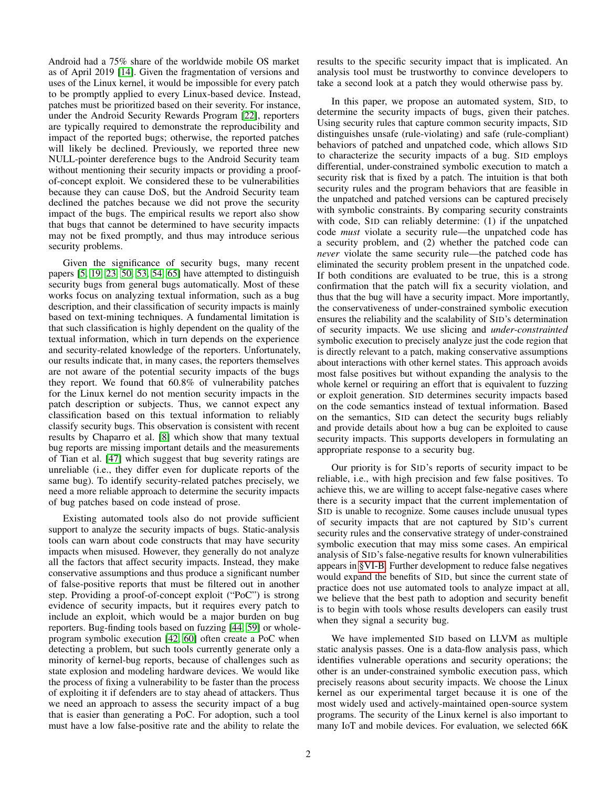Android had a 75% share of the worldwide mobile OS market as of April 2019 [\[14\]](#page-15-4). Given the fragmentation of versions and uses of the Linux kernel, it would be impossible for every patch to be promptly applied to every Linux-based device. Instead, patches must be prioritized based on their severity. For instance, under the Android Security Rewards Program [\[22\]](#page-15-5), reporters are typically required to demonstrate the reproducibility and impact of the reported bugs; otherwise, the reported patches will likely be declined. Previously, we reported three new NULL-pointer dereference bugs to the Android Security team without mentioning their security impacts or providing a proofof-concept exploit. We considered these to be vulnerabilities because they can cause DoS, but the Android Security team declined the patches because we did not prove the security impact of the bugs. The empirical results we report also show that bugs that cannot be determined to have security impacts may not be fixed promptly, and thus may introduce serious security problems.

Given the significance of security bugs, many recent papers [\[5,](#page-15-6) [19,](#page-15-7) [23,](#page-15-8) [50,](#page-16-3) [53,](#page-16-4) [54,](#page-16-5) [65\]](#page-16-6) have attempted to distinguish security bugs from general bugs automatically. Most of these works focus on analyzing textual information, such as a bug description, and their classification of security impacts is mainly based on text-mining techniques. A fundamental limitation is that such classification is highly dependent on the quality of the textual information, which in turn depends on the experience and security-related knowledge of the reporters. Unfortunately, our results indicate that, in many cases, the reporters themselves are not aware of the potential security impacts of the bugs they report. We found that 60.8% of vulnerability patches for the Linux kernel do not mention security impacts in the patch description or subjects. Thus, we cannot expect any classification based on this textual information to reliably classify security bugs. This observation is consistent with recent results by Chaparro et al. [\[8\]](#page-15-9) which show that many textual bug reports are missing important details and the measurements of Tian et al. [\[47\]](#page-16-7) which suggest that bug severity ratings are unreliable (i.e., they differ even for duplicate reports of the same bug). To identify security-related patches precisely, we need a more reliable approach to determine the security impacts of bug patches based on code instead of prose.

Existing automated tools also do not provide sufficient support to analyze the security impacts of bugs. Static-analysis tools can warn about code constructs that may have security impacts when misused. However, they generally do not analyze all the factors that affect security impacts. Instead, they make conservative assumptions and thus produce a significant number of false-positive reports that must be filtered out in another step. Providing a proof-of-concept exploit ("PoC") is strong evidence of security impacts, but it requires every patch to include an exploit, which would be a major burden on bug reporters. Bug-finding tools based on fuzzing [\[44,](#page-16-8) [59\]](#page-16-9) or wholeprogram symbolic execution [\[42,](#page-16-10) [60\]](#page-16-11) often create a PoC when detecting a problem, but such tools currently generate only a minority of kernel-bug reports, because of challenges such as state explosion and modeling hardware devices. We would like the process of fixing a vulnerability to be faster than the process of exploiting it if defenders are to stay ahead of attackers. Thus we need an approach to assess the security impact of a bug that is easier than generating a PoC. For adoption, such a tool must have a low false-positive rate and the ability to relate the

results to the specific security impact that is implicated. An analysis tool must be trustworthy to convince developers to take a second look at a patch they would otherwise pass by.

In this paper, we propose an automated system, SID, to determine the security impacts of bugs, given their patches. Using security rules that capture common security impacts, SID distinguishes unsafe (rule-violating) and safe (rule-compliant) behaviors of patched and unpatched code, which allows SID to characterize the security impacts of a bug. SID employs differential, under-constrained symbolic execution to match a security risk that is fixed by a patch. The intuition is that both security rules and the program behaviors that are feasible in the unpatched and patched versions can be captured precisely with symbolic constraints. By comparing security constraints with code, SID can reliably determine: (1) if the unpatched code *must* violate a security rule—the unpatched code has a security problem, and (2) whether the patched code can *never* violate the same security rule—the patched code has eliminated the security problem present in the unpatched code. If both conditions are evaluated to be true, this is a strong confirmation that the patch will fix a security violation, and thus that the bug will have a security impact. More importantly, the conservativeness of under-constrained symbolic execution ensures the reliability and the scalability of SID's determination of security impacts. We use slicing and *under-constrainted* symbolic execution to precisely analyze just the code region that is directly relevant to a patch, making conservative assumptions about interactions with other kernel states. This approach avoids most false positives but without expanding the analysis to the whole kernel or requiring an effort that is equivalent to fuzzing or exploit generation. SID determines security impacts based on the code semantics instead of textual information. Based on the semantics, SID can detect the security bugs reliably and provide details about how a bug can be exploited to cause security impacts. This supports developers in formulating an appropriate response to a security bug.

Our priority is for SID's reports of security impact to be reliable, i.e., with high precision and few false positives. To achieve this, we are willing to accept false-negative cases where there is a security impact that the current implementation of SID is unable to recognize. Some causes include unusual types of security impacts that are not captured by SID's current security rules and the conservative strategy of under-constrained symbolic execution that may miss some cases. An empirical analysis of SID's false-negative results for known vulnerabilities appears in [§VI-B.](#page-9-0) Further development to reduce false negatives would expand the benefits of SID, but since the current state of practice does not use automated tools to analyze impact at all, we believe that the best path to adoption and security benefit is to begin with tools whose results developers can easily trust when they signal a security bug.

We have implemented SID based on LLVM as multiple static analysis passes. One is a data-flow analysis pass, which identifies vulnerable operations and security operations; the other is an under-constrained symbolic execution pass, which precisely reasons about security impacts. We choose the Linux kernel as our experimental target because it is one of the most widely used and actively-maintained open-source system programs. The security of the Linux kernel is also important to many IoT and mobile devices. For evaluation, we selected 66K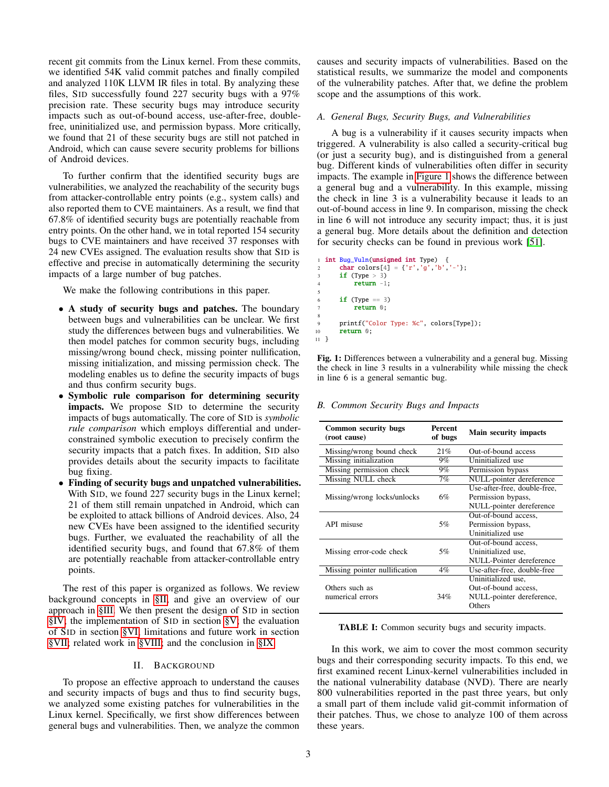recent git commits from the Linux kernel. From these commits, we identified 54K valid commit patches and finally compiled and analyzed 110K LLVM IR files in total. By analyzing these files, SID successfully found 227 security bugs with a 97% precision rate. These security bugs may introduce security impacts such as out-of-bound access, use-after-free, doublefree, uninitialized use, and permission bypass. More critically, we found that 21 of these security bugs are still not patched in Android, which can cause severe security problems for billions of Android devices.

To further confirm that the identified security bugs are vulnerabilities, we analyzed the reachability of the security bugs from attacker-controllable entry points (e.g., system calls) and also reported them to CVE maintainers. As a result, we find that 67.8% of identified security bugs are potentially reachable from entry points. On the other hand, we in total reported 154 security bugs to CVE maintainers and have received 37 responses with 24 new CVEs assigned. The evaluation results show that SID is effective and precise in automatically determining the security impacts of a large number of bug patches.

We make the following contributions in this paper.

- A study of security bugs and patches. The boundary between bugs and vulnerabilities can be unclear. We first study the differences between bugs and vulnerabilities. We then model patches for common security bugs, including missing/wrong bound check, missing pointer nullification, missing initialization, and missing permission check. The modeling enables us to define the security impacts of bugs and thus confirm security bugs.
- Symbolic rule comparison for determining security impacts. We propose SID to determine the security impacts of bugs automatically. The core of SID is *symbolic rule comparison* which employs differential and underconstrained symbolic execution to precisely confirm the security impacts that a patch fixes. In addition, SID also provides details about the security impacts to facilitate bug fixing.
- Finding of security bugs and unpatched vulnerabilities. With SID, we found 227 security bugs in the Linux kernel; 21 of them still remain unpatched in Android, which can be exploited to attack billions of Android devices. Also, 24 new CVEs have been assigned to the identified security bugs. Further, we evaluated the reachability of all the identified security bugs, and found that 67.8% of them are potentially reachable from attacker-controllable entry points.

The rest of this paper is organized as follows. We review background concepts in [§II,](#page-2-0) and give an overview of our approach in [§III.](#page-4-0) We then present the design of SID in section [§IV;](#page-5-0) the implementation of SID in section [§V;](#page-7-0) the evaluation of SID in section [§VI;](#page-9-1) limitations and future work in section [§VII;](#page-13-0) related work in [§VIII;](#page-14-0) and the conclusion in [§IX.](#page-15-10)

## II. BACKGROUND

<span id="page-2-0"></span>To propose an effective approach to understand the causes and security impacts of bugs and thus to find security bugs, we analyzed some existing patches for vulnerabilities in the Linux kernel. Specifically, we first show differences between general bugs and vulnerabilities. Then, we analyze the common

causes and security impacts of vulnerabilities. Based on the statistical results, we summarize the model and components of the vulnerability patches. After that, we define the problem scope and the assumptions of this work.

## *A. General Bugs, Security Bugs, and Vulnerabilities*

A bug is a vulnerability if it causes security impacts when triggered. A vulnerability is also called a security-critical bug (or just a security bug), and is distinguished from a general bug. Different kinds of vulnerabilities often differ in security impacts. The example in [Figure 1](#page-2-1) shows the difference between a general bug and a vulnerability. In this example, missing the check in line 3 is a vulnerability because it leads to an out-of-bound access in line 9. In comparison, missing the check in line 6 will not introduce any security impact; thus, it is just a general bug. More details about the definition and detection for security checks can be found in previous work [\[51\]](#page-16-12).

```
int Bug_Vuln(unsigned int Type) {
      char colors[4] = {'r','g','b','-'};
      if (Type > 3)
          return -1;if (Type == 3)return 0;
      9 printf("Color Type: %c", colors[Type]);
10 return 0;
11 }
```
5

8

Fig. 1: Differences between a vulnerability and a general bug. Missing the check in line 3 results in a vulnerability while missing the check in line 6 is a general semantic bug.

<span id="page-2-3"></span>*B. Common Security Bugs and Impacts*

<span id="page-2-2"></span>

| <b>Common security bugs</b><br>(root cause) | Percent<br>of bugs | <b>Main security impacts</b> |
|---------------------------------------------|--------------------|------------------------------|
| Missing/wrong bound check                   | 21%                | Out-of-bound access          |
| Missing initialization                      | 9%                 | Uninitialized use            |
| Missing permission check                    | $9\%$              | Permission bypass            |
| Missing NULL check                          | 7%                 | NULL-pointer dereference     |
|                                             |                    | Use-after-free, double-free, |
| Missing/wrong locks/unlocks                 | 6%                 | Permission bypass,           |
|                                             |                    | NULL-pointer dereference     |
|                                             |                    | Out-of-bound access.         |
| API misuse                                  | 5%                 | Permission bypass,           |
|                                             |                    | Uninitialized use            |
|                                             |                    | Out-of-bound access,         |
| Missing error-code check                    | 5%                 | Uninitialized use,           |
|                                             |                    | NULL-Pointer dereference     |
| Missing pointer nullification               | $4\%$              | Use-after-free, double-free  |
|                                             |                    | Uninitialized use,           |
| Others such as                              |                    | Out-of-bound access,         |
| numerical errors                            | 34%                | NULL-pointer dereference,    |
|                                             |                    | Others                       |

TABLE I: Common security bugs and security impacts.

In this work, we aim to cover the most common security bugs and their corresponding security impacts. To this end, we first examined recent Linux-kernel vulnerabilities included in the national vulnerability database (NVD). There are nearly 800 vulnerabilities reported in the past three years, but only a small part of them include valid git-commit information of their patches. Thus, we chose to analyze 100 of them across these years.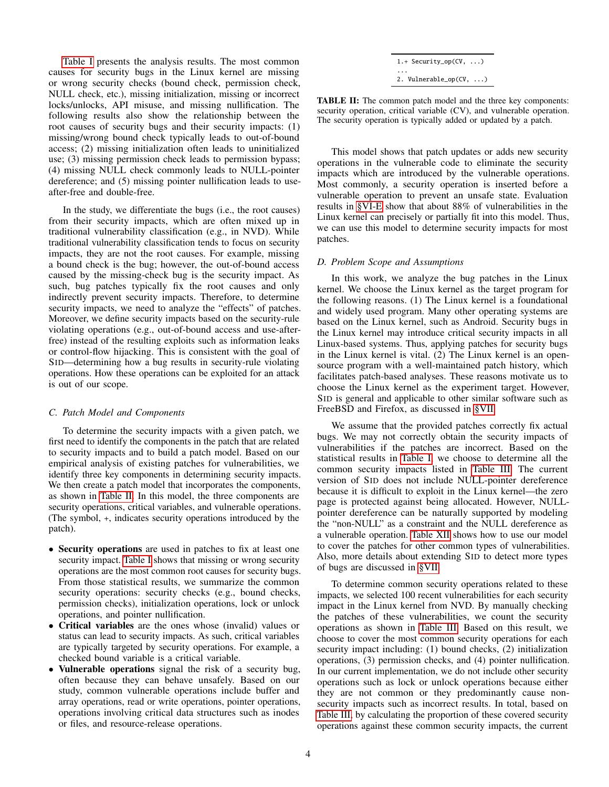[Table I](#page-2-2) presents the analysis results. The most common causes for security bugs in the Linux kernel are missing or wrong security checks (bound check, permission check, NULL check, etc.), missing initialization, missing or incorrect locks/unlocks, API misuse, and missing nullification. The following results also show the relationship between the root causes of security bugs and their security impacts: (1) missing/wrong bound check typically leads to out-of-bound access; (2) missing initialization often leads to uninitialized use; (3) missing permission check leads to permission bypass; (4) missing NULL check commonly leads to NULL-pointer dereference; and (5) missing pointer nullification leads to useafter-free and double-free.

In the study, we differentiate the bugs (i.e., the root causes) from their security impacts, which are often mixed up in traditional vulnerability classification (e.g., in NVD). While traditional vulnerability classification tends to focus on security impacts, they are not the root causes. For example, missing a bound check is the bug; however, the out-of-bound access caused by the missing-check bug is the security impact. As such, bug patches typically fix the root causes and only indirectly prevent security impacts. Therefore, to determine security impacts, we need to analyze the "effects" of patches. Moreover, we define security impacts based on the security-rule violating operations (e.g., out-of-bound access and use-afterfree) instead of the resulting exploits such as information leaks or control-flow hijacking. This is consistent with the goal of SID—determining how a bug results in security-rule violating operations. How these operations can be exploited for an attack is out of our scope.

## <span id="page-3-1"></span>*C. Patch Model and Components*

To determine the security impacts with a given patch, we first need to identify the components in the patch that are related to security impacts and to build a patch model. Based on our empirical analysis of existing patches for vulnerabilities, we identify three key components in determining security impacts. We then create a patch model that incorporates the components, as shown in [Table II.](#page-3-0) In this model, the three components are security operations, critical variables, and vulnerable operations. (The symbol, +, indicates security operations introduced by the patch).

- Security operations are used in patches to fix at least one security impact. [Table I](#page-2-2) shows that missing or wrong security operations are the most common root causes for security bugs. From those statistical results, we summarize the common security operations: security checks (e.g., bound checks, permission checks), initialization operations, lock or unlock operations, and pointer nullification.
- Critical variables are the ones whose (invalid) values or status can lead to security impacts. As such, critical variables are typically targeted by security operations. For example, a checked bound variable is a critical variable.
- Vulnerable operations signal the risk of a security bug, often because they can behave unsafely. Based on our study, common vulnerable operations include buffer and array operations, read or write operations, pointer operations, operations involving critical data structures such as inodes or files, and resource-release operations.

| $1.+$ Security_op(CV, )    |
|----------------------------|
| .                          |
| 2. Vulnerable_op( $CV, $ ) |

<span id="page-3-0"></span>TABLE II: The common patch model and the three key components: security operation, critical variable (CV), and vulnerable operation. The security operation is typically added or updated by a patch.

This model shows that patch updates or adds new security operations in the vulnerable code to eliminate the security impacts which are introduced by the vulnerable operations. Most commonly, a security operation is inserted before a vulnerable operation to prevent an unsafe state. Evaluation results in [§VI-E](#page-11-0) show that about 88% of vulnerabilities in the Linux kernel can precisely or partially fit into this model. Thus, we can use this model to determine security impacts for most patches.

## <span id="page-3-2"></span>*D. Problem Scope and Assumptions*

In this work, we analyze the bug patches in the Linux kernel. We choose the Linux kernel as the target program for the following reasons. (1) The Linux kernel is a foundational and widely used program. Many other operating systems are based on the Linux kernel, such as Android. Security bugs in the Linux kernel may introduce critical security impacts in all Linux-based systems. Thus, applying patches for security bugs in the Linux kernel is vital. (2) The Linux kernel is an opensource program with a well-maintained patch history, which facilitates patch-based analyses. These reasons motivate us to choose the Linux kernel as the experiment target. However, SID is general and applicable to other similar software such as FreeBSD and Firefox, as discussed in [§VII.](#page-13-0)

We assume that the provided patches correctly fix actual bugs. We may not correctly obtain the security impacts of vulnerabilities if the patches are incorrect. Based on the statistical results in [Table I,](#page-2-2) we choose to determine all the common security impacts listed in [Table III.](#page-4-1) The current version of SID does not include NULL-pointer dereference because it is difficult to exploit in the Linux kernel—the zero page is protected against being allocated. However, NULLpointer dereference can be naturally supported by modeling the "non-NULL" as a constraint and the NULL dereference as a vulnerable operation. [Table XII](#page-14-1) shows how to use our model to cover the patches for other common types of vulnerabilities. Also, more details about extending SID to detect more types of bugs are discussed in [§VII.](#page-13-0)

To determine common security operations related to these impacts, we selected 100 recent vulnerabilities for each security impact in the Linux kernel from NVD. By manually checking the patches of these vulnerabilities, we count the security operations as shown in [Table III.](#page-4-1) Based on this result, we choose to cover the most common security operations for each security impact including: (1) bound checks, (2) initialization operations, (3) permission checks, and (4) pointer nullification. In our current implementation, we do not include other security operations such as lock or unlock operations because either they are not common or they predominantly cause nonsecurity impacts such as incorrect results. In total, based on [Table III,](#page-4-1) by calculating the proportion of these covered security operations against these common security impacts, the current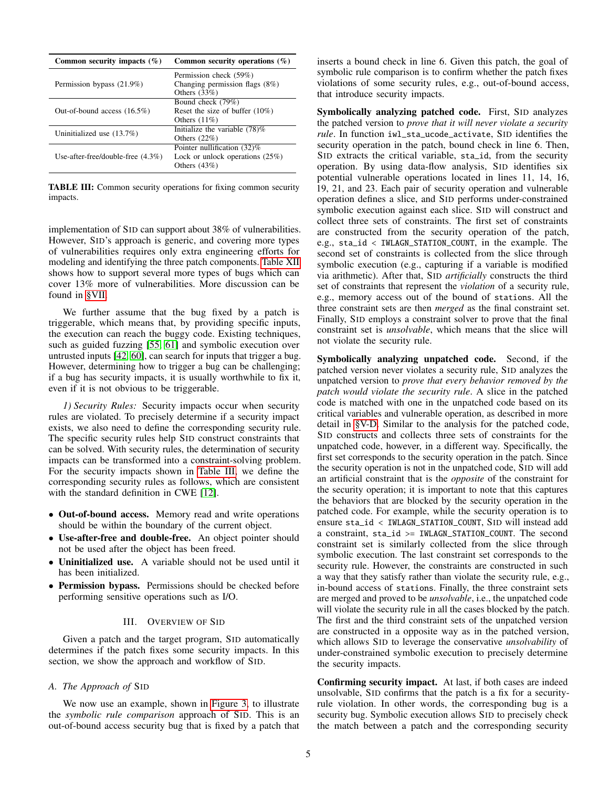<span id="page-4-1"></span>

| Common security impacts $(\%)$       | Common security operations $(\%)$ |
|--------------------------------------|-----------------------------------|
|                                      | Permission check (59%)            |
| Permission bypass (21.9%)            | Changing permission flags $(8\%)$ |
|                                      | Others $(33%)$                    |
|                                      | Bound check (79%)                 |
| Out-of-bound access $(16.5\%)$       | Reset the size of buffer $(10\%)$ |
|                                      | Others $(11\%)$                   |
| Uninitialized use $(13.7%)$          | Initialize the variable $(78)$ %  |
|                                      | Others $(22\%)$                   |
|                                      | Pointer nullification (32)%       |
| Use-after-free/double-free $(4.3\%)$ | Lock or unlock operations $(25%)$ |
|                                      | Others $(43%)$                    |

TABLE III: Common security operations for fixing common security impacts.

implementation of SID can support about 38% of vulnerabilities. However, SID's approach is generic, and covering more types of vulnerabilities requires only extra engineering efforts for modeling and identifying the three patch components. [Table XII](#page-14-1) shows how to support several more types of bugs which can cover 13% more of vulnerabilities. More discussion can be found in [§VII.](#page-13-0)

We further assume that the bug fixed by a patch is triggerable, which means that, by providing specific inputs, the execution can reach the buggy code. Existing techniques, such as guided fuzzing [\[55,](#page-16-13) [61\]](#page-16-14) and symbolic execution over untrusted inputs [\[42,](#page-16-10) [60\]](#page-16-11), can search for inputs that trigger a bug. However, determining how to trigger a bug can be challenging; if a bug has security impacts, it is usually worthwhile to fix it, even if it is not obvious to be triggerable.

*1) Security Rules:* Security impacts occur when security rules are violated. To precisely determine if a security impact exists, we also need to define the corresponding security rule. The specific security rules help SID construct constraints that can be solved. With security rules, the determination of security impacts can be transformed into a constraint-solving problem. For the security impacts shown in [Table III,](#page-4-1) we define the corresponding security rules as follows, which are consistent with the standard definition in CWE [\[12\]](#page-15-11).

- Out-of-bound access. Memory read and write operations should be within the boundary of the current object.
- Use-after-free and double-free. An object pointer should not be used after the object has been freed.
- Uninitialized use. A variable should not be used until it has been initialized.
- Permission bypass. Permissions should be checked before performing sensitive operations such as I/O.

## III. OVERVIEW OF SID

<span id="page-4-0"></span>Given a patch and the target program, SID automatically determines if the patch fixes some security impacts. In this section, we show the approach and workflow of SID.

# <span id="page-4-2"></span>*A. The Approach of* SID

We now use an example, shown in [Figure 3,](#page-5-1) to illustrate the *symbolic rule comparison* approach of SID. This is an out-of-bound access security bug that is fixed by a patch that inserts a bound check in line 6. Given this patch, the goal of symbolic rule comparison is to confirm whether the patch fixes violations of some security rules, e.g., out-of-bound access, that introduce security impacts.

Symbolically analyzing patched code. First, SID analyzes the patched version to *prove that it will never violate a security rule*. In function iwl\_sta\_ucode\_activate, SID identifies the security operation in the patch, bound check in line 6. Then, SID extracts the critical variable, sta\_id, from the security operation. By using data-flow analysis, SID identifies six potential vulnerable operations located in lines 11, 14, 16, 19, 21, and 23. Each pair of security operation and vulnerable operation defines a slice, and SID performs under-constrained symbolic execution against each slice. SID will construct and collect three sets of constraints. The first set of constraints are constructed from the security operation of the patch, e.g., sta\_id < IWLAGN\_STATION\_COUNT, in the example. The second set of constraints is collected from the slice through symbolic execution (e.g., capturing if a variable is modified via arithmetic). After that, SID *artificially* constructs the third set of constraints that represent the *violation* of a security rule, e.g., memory access out of the bound of stations. All the three constraint sets are then *merged* as the final constraint set. Finally, SID employs a constraint solver to prove that the final constraint set is *unsolvable*, which means that the slice will not violate the security rule.

Symbolically analyzing unpatched code. Second, if the patched version never violates a security rule, SID analyzes the unpatched version to *prove that every behavior removed by the patch would violate the security rule*. A slice in the patched code is matched with one in the unpatched code based on its critical variables and vulnerable operation, as described in more detail in [§V-D.](#page-8-0) Similar to the analysis for the patched code, SID constructs and collects three sets of constraints for the unpatched code, however, in a different way. Specifically, the first set corresponds to the security operation in the patch. Since the security operation is not in the unpatched code, SID will add an artificial constraint that is the *opposite* of the constraint for the security operation; it is important to note that this captures the behaviors that are blocked by the security operation in the patched code. For example, while the security operation is to ensure sta\_id < IWLAGN\_STATION\_COUNT, SID will instead add a constraint, sta\_id >= IWLAGN\_STATION\_COUNT. The second constraint set is similarly collected from the slice through symbolic execution. The last constraint set corresponds to the security rule. However, the constraints are constructed in such a way that they satisfy rather than violate the security rule, e.g., in-bound access of stations. Finally, the three constraint sets are merged and proved to be *unsolvable*, i.e., the unpatched code will violate the security rule in all the cases blocked by the patch. The first and the third constraint sets of the unpatched version are constructed in a opposite way as in the patched version, which allows SID to leverage the conservative *unsolvability* of under-constrained symbolic execution to precisely determine the security impacts.

Confirming security impact. At last, if both cases are indeed unsolvable, SID confirms that the patch is a fix for a securityrule violation. In other words, the corresponding bug is a security bug. Symbolic execution allows SID to precisely check the match between a patch and the corresponding security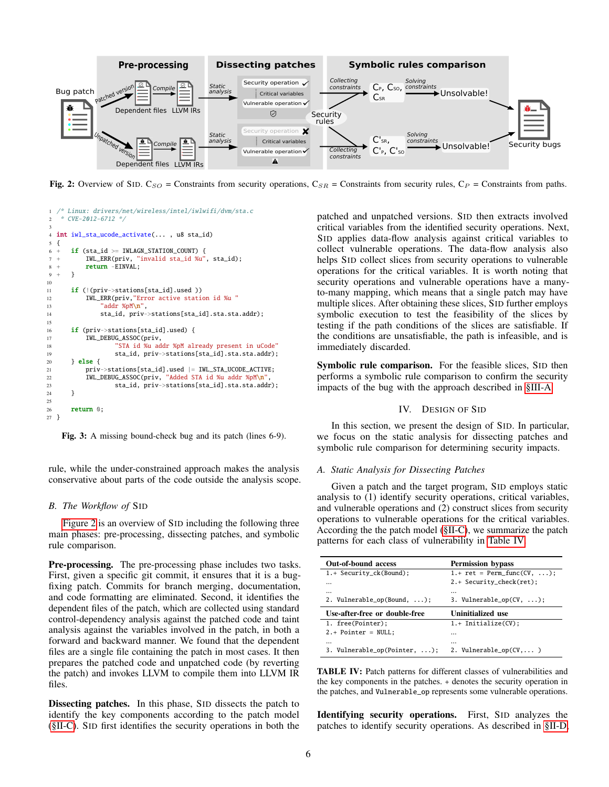<span id="page-5-2"></span>

Fig. 2: Overview of SID. C<sub>SO</sub> = Constraints from security operations, C<sub>SR</sub> = Constraints from security rules, C<sub>P</sub> = Constraints from paths.

<span id="page-5-1"></span>

Fig. 3: A missing bound-check bug and its patch (lines 6-9).

rule, while the under-constrained approach makes the analysis conservative about parts of the code outside the analysis scope.

## *B. The Workflow of* SID

[Figure 2](#page-5-2) is an overview of SID including the following three main phases: pre-processing, dissecting patches, and symbolic rule comparison.

Pre-processing. The pre-processing phase includes two tasks. First, given a specific git commit, it ensures that it is a bugfixing patch. Commits for branch merging, documentation, and code formatting are eliminated. Second, it identifies the dependent files of the patch, which are collected using standard control-dependency analysis against the patched code and taint analysis against the variables involved in the patch, in both a forward and backward manner. We found that the dependent files are a single file containing the patch in most cases. It then prepares the patched code and unpatched code (by reverting the patch) and invokes LLVM to compile them into LLVM IR files.

Dissecting patches. In this phase, SID dissects the patch to identify the key components according to the patch model [\(§II-C\)](#page-3-1). SID first identifies the security operations in both the patched and unpatched versions. SID then extracts involved critical variables from the identified security operations. Next, SID applies data-flow analysis against critical variables to collect vulnerable operations. The data-flow analysis also helps SID collect slices from security operations to vulnerable operations for the critical variables. It is worth noting that security operations and vulnerable operations have a manyto-many mapping, which means that a single patch may have multiple slices. After obtaining these slices, SID further employs symbolic execution to test the feasibility of the slices by testing if the path conditions of the slices are satisfiable. If the conditions are unsatisfiable, the path is infeasible, and is immediately discarded.

Symbolic rule comparison. For the feasible slices, SID then performs a symbolic rule comparison to confirm the security impacts of the bug with the approach described in [§III-A.](#page-4-2)

## IV. DESIGN OF SID

<span id="page-5-0"></span>In this section, we present the design of SID. In particular, we focus on the static analysis for dissecting patches and symbolic rule comparison for determining security impacts.

## <span id="page-5-4"></span>*A. Static Analysis for Dissecting Patches*

Given a patch and the target program, SID employs static analysis to (1) identify security operations, critical variables, and vulnerable operations and (2) construct slices from security operations to vulnerable operations for the critical variables. According the the patch model [\(§II-C\)](#page-3-1), we summarize the patch patterns for each class of vulnerability in [Table IV.](#page-5-3)

<span id="page-5-3"></span>

| <b>Out-of-bound access</b>          | <b>Permission bypass</b>          |
|-------------------------------------|-----------------------------------|
| 1.+ Security_ck(Bound);             | $1.+$ ret = Perm_func(CV, );      |
|                                     | 2.+ Security_check(ret);          |
|                                     |                                   |
| 2. Vulnerable_op(Bound, $\ldots$ ); | 3. Vulnerable_op( $CV, \ldots$ ); |
| Use-after-free or double-free       | Uninitialized use                 |
| 1. free(Pointer);                   | 1.+ Initialize(CV);               |
| $2.+$ Pointer = NULL;               |                                   |
|                                     |                                   |
| 3. Vulnerable_op(Pointer, );        | 2. Vulnerable_op( $CV, \ldots$ )  |

TABLE IV: Patch patterns for different classes of vulnerabilities and the key components in the patches. + denotes the security operation in the patches, and Vulnerable\_op represents some vulnerable operations.

Identifying security operations. First, SID analyzes the patches to identify security operations. As described in [§II-D,](#page-3-2)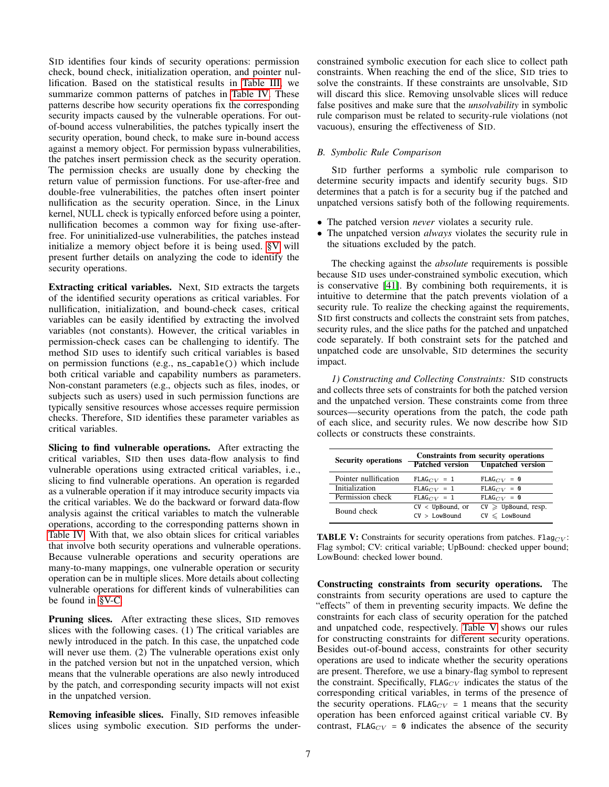SID identifies four kinds of security operations: permission check, bound check, initialization operation, and pointer nullification. Based on the statistical results in [Table III,](#page-4-1) we summarize common patterns of patches in [Table IV.](#page-5-3) These patterns describe how security operations fix the corresponding security impacts caused by the vulnerable operations. For outof-bound access vulnerabilities, the patches typically insert the security operation, bound check, to make sure in-bound access against a memory object. For permission bypass vulnerabilities, the patches insert permission check as the security operation. The permission checks are usually done by checking the return value of permission functions. For use-after-free and double-free vulnerabilities, the patches often insert pointer nullification as the security operation. Since, in the Linux kernel, NULL check is typically enforced before using a pointer, nullification becomes a common way for fixing use-afterfree. For uninitialized-use vulnerabilities, the patches instead initialize a memory object before it is being used. [§V](#page-7-0) will present further details on analyzing the code to identify the security operations.

Extracting critical variables. Next, SID extracts the targets of the identified security operations as critical variables. For nullification, initialization, and bound-check cases, critical variables can be easily identified by extracting the involved variables (not constants). However, the critical variables in permission-check cases can be challenging to identify. The method SID uses to identify such critical variables is based on permission functions (e.g., ns\_capable()) which include both critical variable and capability numbers as parameters. Non-constant parameters (e.g., objects such as files, inodes, or subjects such as users) used in such permission functions are typically sensitive resources whose accesses require permission checks. Therefore, SID identifies these parameter variables as critical variables.

Slicing to find vulnerable operations. After extracting the critical variables, SID then uses data-flow analysis to find vulnerable operations using extracted critical variables, i.e., slicing to find vulnerable operations. An operation is regarded as a vulnerable operation if it may introduce security impacts via the critical variables. We do the backward or forward data-flow analysis against the critical variables to match the vulnerable operations, according to the corresponding patterns shown in [Table IV.](#page-5-3) With that, we also obtain slices for critical variables that involve both security operations and vulnerable operations. Because vulnerable operations and security operations are many-to-many mappings, one vulnerable operation or security operation can be in multiple slices. More details about collecting vulnerable operations for different kinds of vulnerabilities can be found in [§V-C.](#page-8-1)

Pruning slices. After extracting these slices, SID removes slices with the following cases. (1) The critical variables are newly introduced in the patch. In this case, the unpatched code will never use them. (2) The vulnerable operations exist only in the patched version but not in the unpatched version, which means that the vulnerable operations are also newly introduced by the patch, and corresponding security impacts will not exist in the unpatched version.

Removing infeasible slices. Finally, SID removes infeasible slices using symbolic execution. SID performs the underconstrained symbolic execution for each slice to collect path constraints. When reaching the end of the slice, SID tries to solve the constraints. If these constraints are unsolvable, SID will discard this slice. Removing unsolvable slices will reduce false positives and make sure that the *unsolvability* in symbolic rule comparison must be related to security-rule violations (not vacuous), ensuring the effectiveness of SID.

# <span id="page-6-1"></span>*B. Symbolic Rule Comparison*

SID further performs a symbolic rule comparison to determine security impacts and identify security bugs. SID determines that a patch is for a security bug if the patched and unpatched versions satisfy both of the following requirements.

- The patched version *never* violates a security rule.
- The unpatched version *always* violates the security rule in the situations excluded by the patch.

The checking against the *absolute* requirements is possible because SID uses under-constrained symbolic execution, which is conservative [\[41\]](#page-16-15). By combining both requirements, it is intuitive to determine that the patch prevents violation of a security rule. To realize the checking against the requirements, SID first constructs and collects the constraint sets from patches, security rules, and the slice paths for the patched and unpatched code separately. If both constraint sets for the patched and unpatched code are unsolvable, SID determines the security impact.

*1) Constructing and Collecting Constraints:* SID constructs and collects three sets of constraints for both the patched version and the unpatched version. These constraints come from three sources—security operations from the patch, the code path of each slice, and security rules. We now describe how SID collects or constructs these constraints.

<span id="page-6-0"></span>

| <b>Security operations</b> |                                      | Constraints from security operations<br><b>Patched version</b> Unpatched version |
|----------------------------|--------------------------------------|----------------------------------------------------------------------------------|
| Pointer nullification      | $FLAG_{CV} = 1$                      | $FLAG_{CV} = 0$                                                                  |
| Initialization             | $FLAG_{CV} = 1$                      | $FLAG_{CV} = 0$                                                                  |
| Permission check           | $FLAG_{CV} = 1$                      | $FLAG_{CV} = 0$                                                                  |
| Bound check                | $CV < UpBound$ , or<br>CV > LowBound | $CV \geq UpBound$ , resp.<br>$CV \leq$ LowBound                                  |

**TABLE V:** Constraints for security operations from patches. Flag $CV$ : Flag symbol; CV: critical variable; UpBound: checked upper bound; LowBound: checked lower bound.

Constructing constraints from security operations. The constraints from security operations are used to capture the "effects" of them in preventing security impacts. We define the constraints for each class of security operation for the patched and unpatched code, respectively. [Table V](#page-6-0) shows our rules for constructing constraints for different security operations. Besides out-of-bound access, constraints for other security operations are used to indicate whether the security operations are present. Therefore, we use a binary-flag symbol to represent the constraint. Specifically,  $FLAG_{CV}$  indicates the status of the corresponding critical variables, in terms of the presence of the security operations. FLAG<sub>CV</sub> = 1 means that the security operation has been enforced against critical variable CV. By contrast, FLAG<sub>CV</sub> = 0 indicates the absence of the security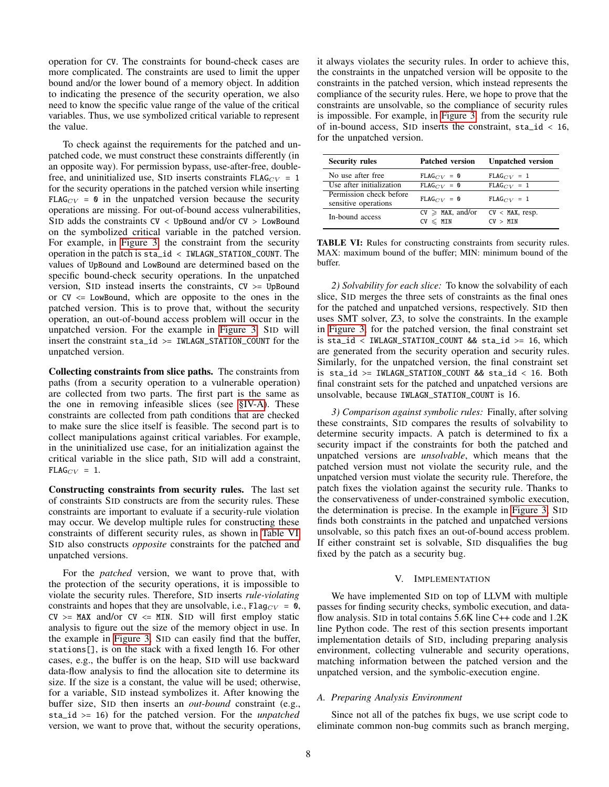operation for CV. The constraints for bound-check cases are more complicated. The constraints are used to limit the upper bound and/or the lower bound of a memory object. In addition to indicating the presence of the security operation, we also need to know the specific value range of the value of the critical variables. Thus, we use symbolized critical variable to represent the value.

To check against the requirements for the patched and unpatched code, we must construct these constraints differently (in an opposite way). For permission bypass, use-after-free, doublefree, and uninitialized use, SID inserts constraints  $FLAG_{CV} = 1$ for the security operations in the patched version while inserting FLAG<sub>CV</sub> = 0 in the unpatched version because the security operations are missing. For out-of-bound access vulnerabilities, SID adds the constraints  $CV < UpBound$  and/or  $CV > LowBound$ on the symbolized critical variable in the patched version. For example, in [Figure 3,](#page-5-1) the constraint from the security operation in the patch is sta\_id < IWLAGN\_STATION\_COUNT. The values of UpBound and LowBound are determined based on the specific bound-check security operations. In the unpatched version, S<sub>ID</sub> instead inserts the constraints,  $CV \geq UpBound$ or  $CV \leq LowBound$ , which are opposite to the ones in the patched version. This is to prove that, without the security operation, an out-of-bound access problem will occur in the unpatched version. For the example in [Figure 3,](#page-5-1) SID will insert the constraint  $sta_id \geq IWLAGN_STATION_COUNT$  for the unpatched version.

Collecting constraints from slice paths. The constraints from paths (from a security operation to a vulnerable operation) are collected from two parts. The first part is the same as the one in removing infeasible slices (see [§IV-A\)](#page-5-4). These constraints are collected from path conditions that are checked to make sure the slice itself is feasible. The second part is to collect manipulations against critical variables. For example, in the uninitialized use case, for an initialization against the critical variable in the slice path, SID will add a constraint,  $FLAG_{CV} = 1.$ 

Constructing constraints from security rules. The last set of constraints SID constructs are from the security rules. These constraints are important to evaluate if a security-rule violation may occur. We develop multiple rules for constructing these constraints of different security rules, as shown in [Table VI.](#page-7-1) SID also constructs *opposite* constraints for the patched and unpatched versions.

For the *patched* version, we want to prove that, with the protection of the security operations, it is impossible to violate the security rules. Therefore, SID inserts *rule-violating* constraints and hopes that they are unsolvable, i.e.,  $Flag_{CV} = 0$ ,  $CV \geq MAX$  and/or  $CV \leq MIN$ . SID will first employ static analysis to figure out the size of the memory object in use. In the example in [Figure 3,](#page-5-1) SID can easily find that the buffer, stations[], is on the stack with a fixed length 16. For other cases, e.g., the buffer is on the heap, SID will use backward data-flow analysis to find the allocation site to determine its size. If the size is a constant, the value will be used; otherwise, for a variable, SID instead symbolizes it. After knowing the buffer size, SID then inserts an *out-bound* constraint (e.g., sta\_id >= 16) for the patched version. For the *unpatched* version, we want to prove that, without the security operations, it always violates the security rules. In order to achieve this, the constraints in the unpatched version will be opposite to the constraints in the patched version, which instead represents the compliance of the security rules. Here, we hope to prove that the constraints are unsolvable, so the compliance of security rules is impossible. For example, in [Figure 3,](#page-5-1) from the security rule of in-bound access, SID inserts the constraint, sta\_id < 16, for the unpatched version.

<span id="page-7-1"></span>

| <b>Security rules</b>                           | <b>Patched version</b>                 | <b>Unpatched version</b>       |
|-------------------------------------------------|----------------------------------------|--------------------------------|
| No use after free                               | $FLAG_{CV} = 0$                        | $FLAG_{CV} = 1$                |
| Use after initialization                        | $FLAG_{CV} = 0$                        | $FLAG_{CV} = 1$                |
| Permission check before<br>sensitive operations | $FLAG_{CV} = 0$                        | $FLAG_{CV} = 1$                |
| In-bound access                                 | $CV \geq$ MAX, and/or<br>$CV \leq MIN$ | $CV < MAX$ , resp.<br>CV > MTN |

TABLE VI: Rules for constructing constraints from security rules. MAX: maximum bound of the buffer; MIN: minimum bound of the buffer.

*2) Solvability for each slice:* To know the solvability of each slice, SID merges the three sets of constraints as the final ones for the patched and unpatched versions, respectively. SID then uses SMT solver, Z3, to solve the constraints. In the example in [Figure 3,](#page-5-1) for the patched version, the final constraint set is sta\_id < IWLAGN\_STATION\_COUNT && sta\_id >= 16, which are generated from the security operation and security rules. Similarly, for the unpatched version, the final constraint set is sta\_id >= IWLAGN\_STATION\_COUNT && sta\_id < 16. Both final constraint sets for the patched and unpatched versions are unsolvable, because IWLAGN\_STATION\_COUNT is 16.

*3) Comparison against symbolic rules:* Finally, after solving these constraints, SID compares the results of solvability to determine security impacts. A patch is determined to fix a security impact if the constraints for both the patched and unpatched versions are *unsolvable*, which means that the patched version must not violate the security rule, and the unpatched version must violate the security rule. Therefore, the patch fixes the violation against the security rule. Thanks to the conservativeness of under-constrained symbolic execution, the determination is precise. In the example in [Figure 3,](#page-5-1) SID finds both constraints in the patched and unpatched versions unsolvable, so this patch fixes an out-of-bound access problem. If either constraint set is solvable, SID disqualifies the bug fixed by the patch as a security bug.

## V. IMPLEMENTATION

<span id="page-7-0"></span>We have implemented SID on top of LLVM with multiple passes for finding security checks, symbolic execution, and dataflow analysis. SID in total contains 5.6K line C++ code and 1.2K line Python code. The rest of this section presents important implementation details of SID, including preparing analysis environment, collecting vulnerable and security operations, matching information between the patched version and the unpatched version, and the symbolic-execution engine.

#### *A. Preparing Analysis Environment*

Since not all of the patches fix bugs, we use script code to eliminate common non-bug commits such as branch merging,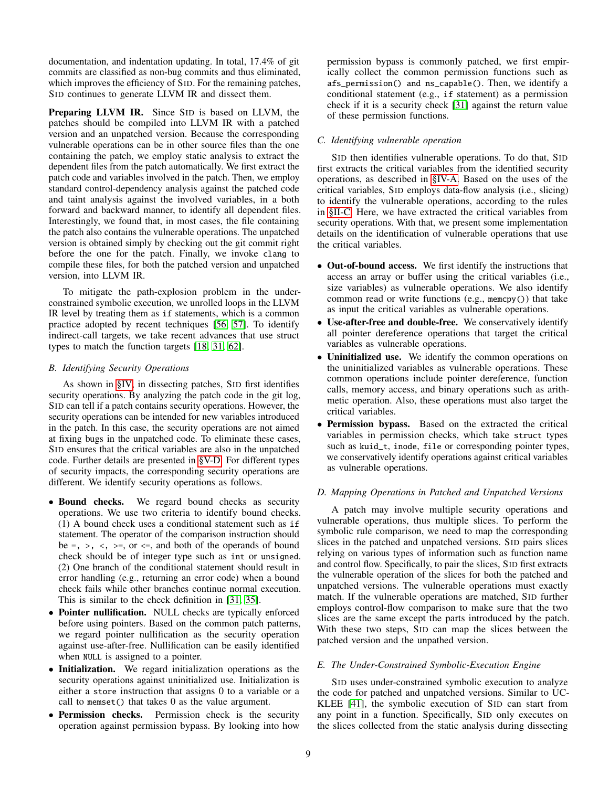documentation, and indentation updating. In total, 17.4% of git commits are classified as non-bug commits and thus eliminated, which improves the efficiency of SID. For the remaining patches, SID continues to generate LLVM IR and dissect them.

Preparing LLVM IR. Since SID is based on LLVM, the patches should be compiled into LLVM IR with a patched version and an unpatched version. Because the corresponding vulnerable operations can be in other source files than the one containing the patch, we employ static analysis to extract the dependent files from the patch automatically. We first extract the patch code and variables involved in the patch. Then, we employ standard control-dependency analysis against the patched code and taint analysis against the involved variables, in a both forward and backward manner, to identify all dependent files. Interestingly, we found that, in most cases, the file containing the patch also contains the vulnerable operations. The unpatched version is obtained simply by checking out the git commit right before the one for the patch. Finally, we invoke clang to compile these files, for both the patched version and unpatched version, into LLVM IR.

To mitigate the path-explosion problem in the underconstrained symbolic execution, we unrolled loops in the LLVM IR level by treating them as if statements, which is a common practice adopted by recent techniques [\[56,](#page-16-16) [57\]](#page-16-17). To identify indirect-call targets, we take recent advances that use struct types to match the function targets [\[18,](#page-15-12) [31,](#page-16-18) [62\]](#page-16-19).

# *B. Identifying Security Operations*

As shown in [§IV,](#page-5-0) in dissecting patches, SID first identifies security operations. By analyzing the patch code in the git log, SID can tell if a patch contains security operations. However, the security operations can be intended for new variables introduced in the patch. In this case, the security operations are not aimed at fixing bugs in the unpatched code. To eliminate these cases, SID ensures that the critical variables are also in the unpatched code. Further details are presented in [§V-D.](#page-8-0) For different types of security impacts, the corresponding security operations are different. We identify security operations as follows.

- Bound checks. We regard bound checks as security operations. We use two criteria to identify bound checks. (1) A bound check uses a conditional statement such as if statement. The operator of the comparison instruction should be  $=$ ,  $>$ ,  $\lt$ ,  $>$ =, or  $\lt$ =, and both of the operands of bound check should be of integer type such as int or unsigned. (2) One branch of the conditional statement should result in error handling (e.g., returning an error code) when a bound check fails while other branches continue normal execution. This is similar to the check definition in [\[31,](#page-16-18) [35\]](#page-16-20).
- Pointer nullification. NULL checks are typically enforced before using pointers. Based on the common patch patterns, we regard pointer nullification as the security operation against use-after-free. Nullification can be easily identified when NULL is assigned to a pointer.
- Initialization. We regard initialization operations as the security operations against uninitialized use. Initialization is either a store instruction that assigns 0 to a variable or a call to memset() that takes 0 as the value argument.
- Permission checks. Permission check is the security operation against permission bypass. By looking into how

permission bypass is commonly patched, we first empirically collect the common permission functions such as afs\_permission() and ns\_capable(). Then, we identify a conditional statement (e.g., if statement) as a permission check if it is a security check [\[31\]](#page-16-18) against the return value of these permission functions.

# <span id="page-8-1"></span>*C. Identifying vulnerable operation*

SID then identifies vulnerable operations. To do that, SID first extracts the critical variables from the identified security operations, as described in [§IV-A.](#page-5-4) Based on the uses of the critical variables, SID employs data-flow analysis (i.e., slicing) to identify the vulnerable operations, according to the rules in [§II-C.](#page-3-1) Here, we have extracted the critical variables from security operations. With that, we present some implementation details on the identification of vulnerable operations that use the critical variables.

- Out-of-bound access. We first identify the instructions that access an array or buffer using the critical variables (i.e., size variables) as vulnerable operations. We also identify common read or write functions (e.g., memcpy()) that take as input the critical variables as vulnerable operations.
- Use-after-free and double-free. We conservatively identify all pointer dereference operations that target the critical variables as vulnerable operations.
- Uninitialized use. We identify the common operations on the uninitialized variables as vulnerable operations. These common operations include pointer dereference, function calls, memory access, and binary operations such as arithmetic operation. Also, these operations must also target the critical variables.
- Permission bypass. Based on the extracted the critical variables in permission checks, which take struct types such as kuid\_t, inode, file or corresponding pointer types, we conservatively identify operations against critical variables as vulnerable operations.

# <span id="page-8-0"></span>*D. Mapping Operations in Patched and Unpatched Versions*

A patch may involve multiple security operations and vulnerable operations, thus multiple slices. To perform the symbolic rule comparison, we need to map the corresponding slices in the patched and unpatched versions. SID pairs slices relying on various types of information such as function name and control flow. Specifically, to pair the slices, SID first extracts the vulnerable operation of the slices for both the patched and unpatched versions. The vulnerable operations must exactly match. If the vulnerable operations are matched, SID further employs control-flow comparison to make sure that the two slices are the same except the parts introduced by the patch. With these two steps, SID can map the slices between the patched version and the unpathed version.

# *E. The Under-Constrained Symbolic-Execution Engine*

SID uses under-constrained symbolic execution to analyze the code for patched and unpatched versions. Similar to UC-KLEE [\[41\]](#page-16-15), the symbolic execution of SID can start from any point in a function. Specifically, SID only executes on the slices collected from the static analysis during dissecting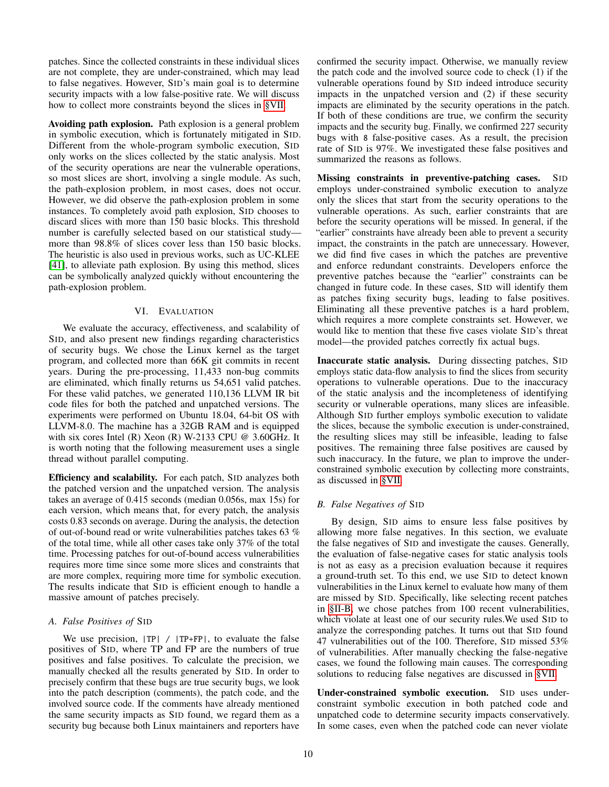patches. Since the collected constraints in these individual slices are not complete, they are under-constrained, which may lead to false negatives. However, SID's main goal is to determine security impacts with a low false-positive rate. We will discuss how to collect more constraints beyond the slices in [§VII.](#page-13-0)

Avoiding path explosion. Path explosion is a general problem in symbolic execution, which is fortunately mitigated in SID. Different from the whole-program symbolic execution, SID only works on the slices collected by the static analysis. Most of the security operations are near the vulnerable operations, so most slices are short, involving a single module. As such, the path-explosion problem, in most cases, does not occur. However, we did observe the path-explosion problem in some instances. To completely avoid path explosion, SID chooses to discard slices with more than 150 basic blocks. This threshold number is carefully selected based on our statistical study more than 98.8% of slices cover less than 150 basic blocks. The heuristic is also used in previous works, such as UC-KLEE [\[41\]](#page-16-15), to alleviate path explosion. By using this method, slices can be symbolically analyzed quickly without encountering the path-explosion problem.

## VI. EVALUATION

<span id="page-9-1"></span>We evaluate the accuracy, effectiveness, and scalability of SID, and also present new findings regarding characteristics of security bugs. We chose the Linux kernel as the target program, and collected more than 66K git commits in recent years. During the pre-processing, 11,433 non-bug commits are eliminated, which finally returns us 54,651 valid patches. For these valid patches, we generated 110,136 LLVM IR bit code files for both the patched and unpatched versions. The experiments were performed on Ubuntu 18.04, 64-bit OS with LLVM-8.0. The machine has a 32GB RAM and is equipped with six cores Intel (R) Xeon (R) W-2133 CPU  $@$  3.60GHz. It is worth noting that the following measurement uses a single thread without parallel computing.

Efficiency and scalability. For each patch, SID analyzes both the patched version and the unpatched version. The analysis takes an average of 0.415 seconds (median 0.056s, max 15s) for each version, which means that, for every patch, the analysis costs 0.83 seconds on average. During the analysis, the detection of out-of-bound read or write vulnerabilities patches takes 63 % of the total time, while all other cases take only 37% of the total time. Processing patches for out-of-bound access vulnerabilities requires more time since some more slices and constraints that are more complex, requiring more time for symbolic execution. The results indicate that SID is efficient enough to handle a massive amount of patches precisely.

## *A. False Positives of* SID

We use precision,  $|TP| / |TP+FP|$ , to evaluate the false positives of SID, where TP and FP are the numbers of true positives and false positives. To calculate the precision, we manually checked all the results generated by SID. In order to precisely confirm that these bugs are true security bugs, we look into the patch description (comments), the patch code, and the involved source code. If the comments have already mentioned the same security impacts as SID found, we regard them as a security bug because both Linux maintainers and reporters have confirmed the security impact. Otherwise, we manually review the patch code and the involved source code to check (1) if the vulnerable operations found by SID indeed introduce security impacts in the unpatched version and (2) if these security impacts are eliminated by the security operations in the patch. If both of these conditions are true, we confirm the security impacts and the security bug. Finally, we confirmed 227 security bugs with 8 false-positive cases. As a result, the precision rate of SID is 97%. We investigated these false positives and summarized the reasons as follows.

Missing constraints in preventive-patching cases. SID employs under-constrained symbolic execution to analyze only the slices that start from the security operations to the vulnerable operations. As such, earlier constraints that are before the security operations will be missed. In general, if the "earlier" constraints have already been able to prevent a security impact, the constraints in the patch are unnecessary. However, we did find five cases in which the patches are preventive and enforce redundant constraints. Developers enforce the preventive patches because the "earlier" constraints can be changed in future code. In these cases, SID will identify them as patches fixing security bugs, leading to false positives. Eliminating all these preventive patches is a hard problem, which requires a more complete constraints set. However, we would like to mention that these five cases violate SID's threat model—the provided patches correctly fix actual bugs.

Inaccurate static analysis. During dissecting patches, SID employs static data-flow analysis to find the slices from security operations to vulnerable operations. Due to the inaccuracy of the static analysis and the incompleteness of identifying security or vulnerable operations, many slices are infeasible. Although SID further employs symbolic execution to validate the slices, because the symbolic execution is under-constrained, the resulting slices may still be infeasible, leading to false positives. The remaining three false positives are caused by such inaccuracy. In the future, we plan to improve the underconstrained symbolic execution by collecting more constraints, as discussed in [§VII.](#page-13-0)

# <span id="page-9-0"></span>*B. False Negatives of* SID

By design, SID aims to ensure less false positives by allowing more false negatives. In this section, we evaluate the false negatives of SID and investigate the causes. Generally, the evaluation of false-negative cases for static analysis tools is not as easy as a precision evaluation because it requires a ground-truth set. To this end, we use SID to detect known vulnerabilities in the Linux kernel to evaluate how many of them are missed by SID. Specifically, like selecting recent patches in [§II-B,](#page-2-3) we chose patches from 100 recent vulnerabilities, which violate at least one of our security rules.We used SID to analyze the corresponding patches. It turns out that SID found 47 vulnerabilities out of the 100. Therefore, SID missed 53% of vulnerabilities. After manually checking the false-negative cases, we found the following main causes. The corresponding solutions to reducing false negatives are discussed in [§VII.](#page-13-0)

Under-constrained symbolic execution. SID uses underconstraint symbolic execution in both patched code and unpatched code to determine security impacts conservatively. In some cases, even when the patched code can never violate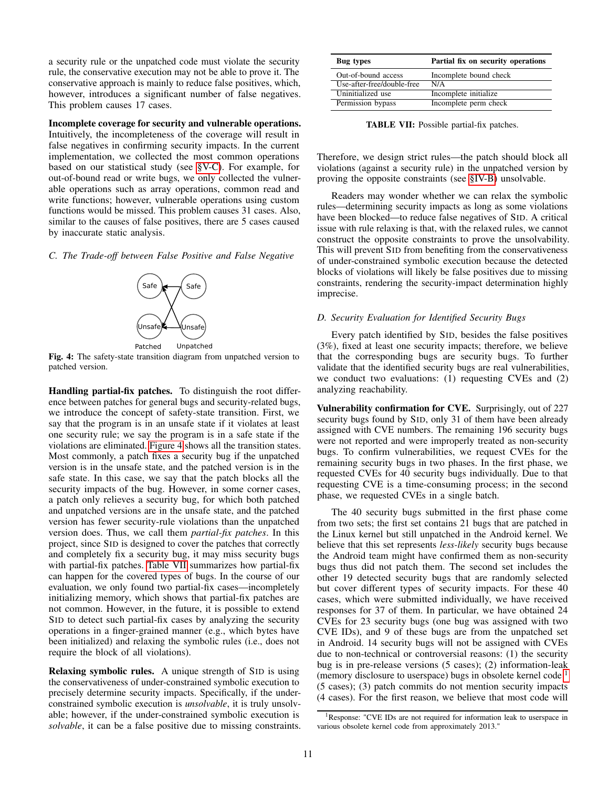a security rule or the unpatched code must violate the security rule, the conservative execution may not be able to prove it. The conservative approach is mainly to reduce false positives, which, however, introduces a significant number of false negatives. This problem causes 17 cases.

Incomplete coverage for security and vulnerable operations.

Intuitively, the incompleteness of the coverage will result in false negatives in confirming security impacts. In the current implementation, we collected the most common operations based on our statistical study (see [§V-C\)](#page-8-1). For example, for out-of-bound read or write bugs, we only collected the vulnerable operations such as array operations, common read and write functions; however, vulnerable operations using custom functions would be missed. This problem causes 31 cases. Also, similar to the causes of false positives, there are 5 cases caused by inaccurate static analysis.

<span id="page-10-0"></span>*C. The Trade-off between False Positive and False Negative*



Fig. 4: The safety-state transition diagram from unpatched version to patched version.

Handling partial-fix patches. To distinguish the root difference between patches for general bugs and security-related bugs, we introduce the concept of safety-state transition. First, we say that the program is in an unsafe state if it violates at least one security rule; we say the program is in a safe state if the violations are eliminated. [Figure 4](#page-10-0) shows all the transition states. Most commonly, a patch fixes a security bug if the unpatched version is in the unsafe state, and the patched version is in the safe state. In this case, we say that the patch blocks all the security impacts of the bug. However, in some corner cases, a patch only relieves a security bug, for which both patched and unpatched versions are in the unsafe state, and the patched version has fewer security-rule violations than the unpatched version does. Thus, we call them *partial-fix patches*. In this project, since SID is designed to cover the patches that correctly and completely fix a security bug, it may miss security bugs with partial-fix patches. [Table VII](#page-10-1) summarizes how partial-fix can happen for the covered types of bugs. In the course of our evaluation, we only found two partial-fix cases—incompletely initializing memory, which shows that partial-fix patches are not common. However, in the future, it is possible to extend SID to detect such partial-fix cases by analyzing the security operations in a finger-grained manner (e.g., which bytes have been initialized) and relaxing the symbolic rules (i.e., does not require the block of all violations).

Relaxing symbolic rules. A unique strength of SID is using the conservativeness of under-constrained symbolic execution to precisely determine security impacts. Specifically, if the underconstrained symbolic execution is *unsolvable*, it is truly unsolvable; however, if the under-constrained symbolic execution is *solvable*, it can be a false positive due to missing constraints.

<span id="page-10-1"></span>

| Bug types                  | Partial fix on security operations |
|----------------------------|------------------------------------|
| Out-of-bound access        | Incomplete bound check             |
| Use-after-free/double-free | N/A                                |
| Uninitialized use          | Incomplete initialize              |
| Permission bypass          | Incomplete perm check              |

TABLE VII: Possible partial-fix patches.

Therefore, we design strict rules—the patch should block all violations (against a security rule) in the unpatched version by proving the opposite constraints (see [§IV-B\)](#page-6-1) unsolvable.

Readers may wonder whether we can relax the symbolic rules—determining security impacts as long as some violations have been blocked—to reduce false negatives of SID. A critical issue with rule relaxing is that, with the relaxed rules, we cannot construct the opposite constraints to prove the unsolvability. This will prevent SID from benefiting from the conservativeness of under-constrained symbolic execution because the detected blocks of violations will likely be false positives due to missing constraints, rendering the security-impact determination highly imprecise.

## *D. Security Evaluation for Identified Security Bugs*

Every patch identified by SID, besides the false positives (3%), fixed at least one security impacts; therefore, we believe that the corresponding bugs are security bugs. To further validate that the identified security bugs are real vulnerabilities, we conduct two evaluations: (1) requesting CVEs and (2) analyzing reachability.

Vulnerability confirmation for CVE. Surprisingly, out of 227 security bugs found by SID, only 31 of them have been already assigned with CVE numbers. The remaining 196 security bugs were not reported and were improperly treated as non-security bugs. To confirm vulnerabilities, we request CVEs for the remaining security bugs in two phases. In the first phase, we requested CVEs for 40 security bugs individually. Due to that requesting CVE is a time-consuming process; in the second phase, we requested CVEs in a single batch.

The 40 security bugs submitted in the first phase come from two sets; the first set contains 21 bugs that are patched in the Linux kernel but still unpatched in the Android kernel. We believe that this set represents *less-likely* security bugs because the Android team might have confirmed them as non-security bugs thus did not patch them. The second set includes the other 19 detected security bugs that are randomly selected but cover different types of security impacts. For these 40 cases, which were submitted individually, we have received responses for 37 of them. In particular, we have obtained 24 CVEs for 23 security bugs (one bug was assigned with two CVE IDs), and 9 of these bugs are from the unpatched set in Android. 14 security bugs will not be assigned with CVEs due to non-technical or controversial reasons: (1) the security bug is in pre-release versions (5 cases); (2) information-leak (memory disclosure to userspace) bugs in obsolete kernel code<sup>[1](#page-10-2)</sup> (5 cases); (3) patch commits do not mention security impacts (4 cases). For the first reason, we believe that most code will

<span id="page-10-2"></span><sup>&</sup>lt;sup>1</sup>Response: "CVE IDs are not required for information leak to userspace in various obsolete kernel code from approximately 2013."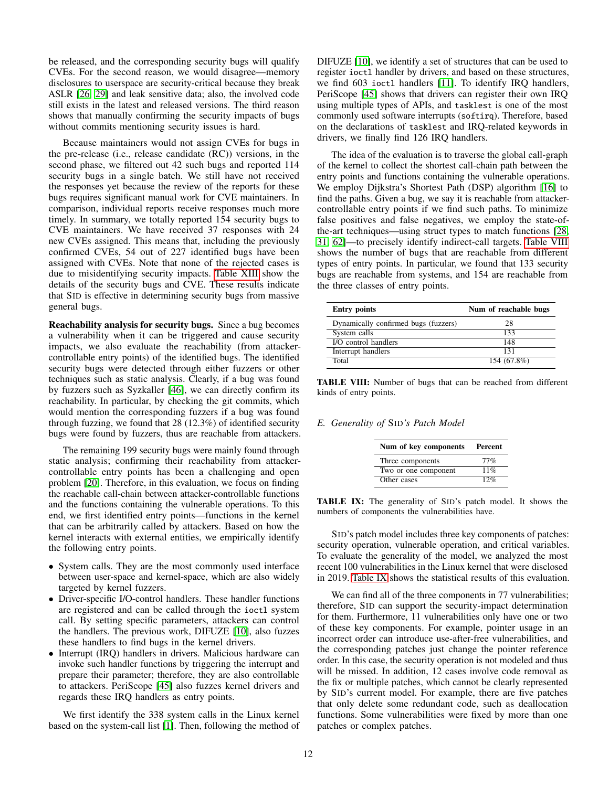be released, and the corresponding security bugs will qualify CVEs. For the second reason, we would disagree—memory disclosures to userspace are security-critical because they break ASLR [\[26,](#page-15-13) [29\]](#page-15-14) and leak sensitive data; also, the involved code still exists in the latest and released versions. The third reason shows that manually confirming the security impacts of bugs without commits mentioning security issues is hard.

Because maintainers would not assign CVEs for bugs in the pre-release (i.e., release candidate (RC)) versions, in the second phase, we filtered out 42 such bugs and reported 114 security bugs in a single batch. We still have not received the responses yet because the review of the reports for these bugs requires significant manual work for CVE maintainers. In comparison, individual reports receive responses much more timely. In summary, we totally reported 154 security bugs to CVE maintainers. We have received 37 responses with 24 new CVEs assigned. This means that, including the previously confirmed CVEs, 54 out of 227 identified bugs have been assigned with CVEs. Note that none of the rejected cases is due to misidentifying security impacts. [Table XIII](#page-17-0) show the details of the security bugs and CVE. These results indicate that SID is effective in determining security bugs from massive general bugs.

Reachability analysis for security bugs. Since a bug becomes a vulnerability when it can be triggered and cause security impacts, we also evaluate the reachability (from attackercontrollable entry points) of the identified bugs. The identified security bugs were detected through either fuzzers or other techniques such as static analysis. Clearly, if a bug was found by fuzzers such as Syzkaller [\[46\]](#page-16-21), we can directly confirm its reachability. In particular, by checking the git commits, which would mention the corresponding fuzzers if a bug was found through fuzzing, we found that 28 (12.3%) of identified security bugs were found by fuzzers, thus are reachable from attackers.

The remaining 199 security bugs were mainly found through static analysis; confirming their reachability from attackercontrollable entry points has been a challenging and open problem [\[20\]](#page-15-15). Therefore, in this evaluation, we focus on finding the reachable call-chain between attacker-controllable functions and the functions containing the vulnerable operations. To this end, we first identified entry points—functions in the kernel that can be arbitrarily called by attackers. Based on how the kernel interacts with external entities, we empirically identify the following entry points.

- System calls. They are the most commonly used interface between user-space and kernel-space, which are also widely targeted by kernel fuzzers.
- Driver-specific I/O-control handlers. These handler functions are registered and can be called through the ioctl system call. By setting specific parameters, attackers can control the handlers. The previous work, DIFUZE [\[10\]](#page-15-16), also fuzzes these handlers to find bugs in the kernel drivers.
- Interrupt (IRQ) handlers in drivers. Malicious hardware can invoke such handler functions by triggering the interrupt and prepare their parameter; therefore, they are also controllable to attackers. PeriScope [\[45\]](#page-16-22) also fuzzes kernel drivers and regards these IRQ handlers as entry points.

We first identify the 338 system calls in the Linux kernel based on the system-call list [\[1\]](#page-15-17). Then, following the method of DIFUZE [\[10\]](#page-15-16), we identify a set of structures that can be used to register ioctl handler by drivers, and based on these structures, we find 603 ioctl handlers [\[11\]](#page-15-18). To identify IRQ handlers, PeriScope [\[45\]](#page-16-22) shows that drivers can register their own IRQ using multiple types of APIs, and tasklest is one of the most commonly used software interrupts (softirq). Therefore, based on the declarations of tasklest and IRQ-related keywords in drivers, we finally find 126 IRQ handlers.

The idea of the evaluation is to traverse the global call-graph of the kernel to collect the shortest call-chain path between the entry points and functions containing the vulnerable operations. We employ Dijkstra's Shortest Path (DSP) algorithm [\[16\]](#page-15-19) to find the paths. Given a bug, we say it is reachable from attackercontrollable entry points if we find such paths. To minimize false positives and false negatives, we employ the state-ofthe-art techniques—using struct types to match functions [\[28,](#page-15-20) [31,](#page-16-18) [62\]](#page-16-19)—to precisely identify indirect-call targets. [Table VIII](#page-11-1) shows the number of bugs that are reachable from different types of entry points. In particular, we found that 133 security bugs are reachable from systems, and 154 are reachable from the three classes of entry points.

<span id="page-11-1"></span>

| <b>Entry points</b>                  | Num of reachable bugs |
|--------------------------------------|-----------------------|
| Dynamically confirmed bugs (fuzzers) | 28                    |
| System calls                         | 133                   |
| I/O control handlers                 | 148                   |
| Interrupt handlers                   | 131                   |
| Total                                | 154 (67.8%)           |

TABLE VIII: Number of bugs that can be reached from different kinds of entry points.

## <span id="page-11-2"></span><span id="page-11-0"></span>*E. Generality of* SID*'s Patch Model*

| Num of key components | Percent |
|-----------------------|---------|
| Three components      | 77%     |
| Two or one component  | 11%     |
| Other cases           | 12%     |

TABLE IX: The generality of SID's patch model. It shows the numbers of components the vulnerabilities have.

SID's patch model includes three key components of patches: security operation, vulnerable operation, and critical variables. To evaluate the generality of the model, we analyzed the most recent 100 vulnerabilities in the Linux kernel that were disclosed in 2019. [Table IX](#page-11-2) shows the statistical results of this evaluation.

We can find all of the three components in 77 vulnerabilities; therefore, SID can support the security-impact determination for them. Furthermore, 11 vulnerabilities only have one or two of these key components. For example, pointer usage in an incorrect order can introduce use-after-free vulnerabilities, and the corresponding patches just change the pointer reference order. In this case, the security operation is not modeled and thus will be missed. In addition, 12 cases involve code removal as the fix or multiple patches, which cannot be clearly represented by SID's current model. For example, there are five patches that only delete some redundant code, such as deallocation functions. Some vulnerabilities were fixed by more than one patches or complex patches.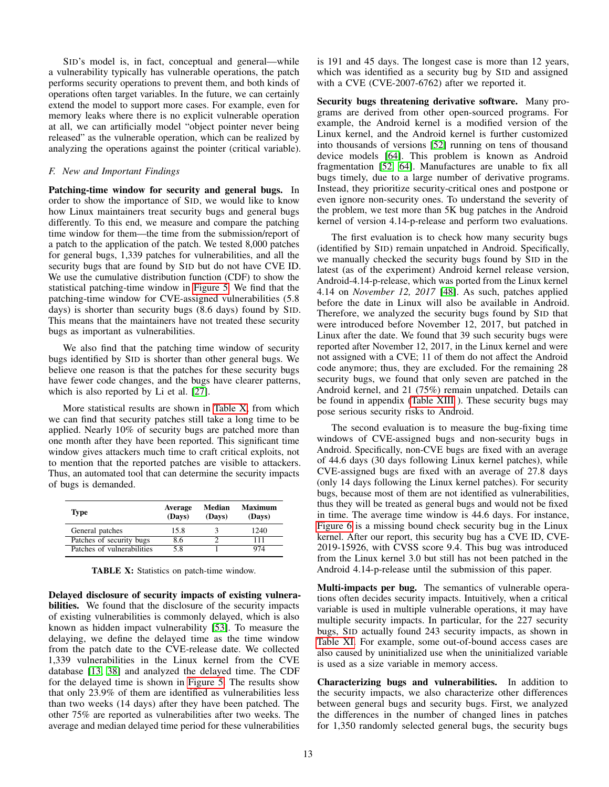SID's model is, in fact, conceptual and general—while a vulnerability typically has vulnerable operations, the patch performs security operations to prevent them, and both kinds of operations often target variables. In the future, we can certainly extend the model to support more cases. For example, even for memory leaks where there is no explicit vulnerable operation at all, we can artificially model "object pointer never being released" as the vulnerable operation, which can be realized by analyzing the operations against the pointer (critical variable).

## *F. New and Important Findings*

Patching-time window for security and general bugs. In order to show the importance of SID, we would like to know how Linux maintainers treat security bugs and general bugs differently. To this end, we measure and compare the patching time window for them—the time from the submission/report of a patch to the application of the patch. We tested 8,000 patches for general bugs, 1,339 patches for vulnerabilities, and all the security bugs that are found by SID but do not have CVE ID. We use the cumulative distribution function (CDF) to show the statistical patching-time window in [Figure 5.](#page-13-1) We find that the patching-time window for CVE-assigned vulnerabilities (5.8 days) is shorter than security bugs (8.6 days) found by SID. This means that the maintainers have not treated these security bugs as important as vulnerabilities.

We also find that the patching time window of security bugs identified by SID is shorter than other general bugs. We believe one reason is that the patches for these security bugs have fewer code changes, and the bugs have clearer patterns, which is also reported by Li et al. [\[27\]](#page-15-21).

More statistical results are shown in [Table X,](#page-12-0) from which we can find that security patches still take a long time to be applied. Nearly 10% of security bugs are patched more than one month after they have been reported. This significant time window gives attackers much time to craft critical exploits, not to mention that the reported patches are visible to attackers. Thus, an automated tool that can determine the security impacts of bugs is demanded.

<span id="page-12-0"></span>

| Type                       | Average<br>(Days) | Median<br>(Days) | <b>Maximum</b><br>(Days) |
|----------------------------|-------------------|------------------|--------------------------|
| General patches            | 15.8              |                  | 1240                     |
| Patches of security bugs   | 8.6               |                  | 111                      |
| Patches of vulnerabilities | 58                |                  | 974                      |

TABLE X: Statistics on patch-time window.

Delayed disclosure of security impacts of existing vulnerabilities. We found that the disclosure of the security impacts of existing vulnerabilities is commonly delayed, which is also known as hidden impact vulnerability [\[53\]](#page-16-4). To measure the delaying, we define the delayed time as the time window from the patch date to the CVE-release date. We collected 1,339 vulnerabilities in the Linux kernel from the CVE database [\[13,](#page-15-22) [38\]](#page-16-23) and analyzed the delayed time. The CDF for the delayed time is shown in [Figure 5.](#page-13-1) The results show that only 23.9% of them are identified as vulnerabilities less than two weeks (14 days) after they have been patched. The other 75% are reported as vulnerabilities after two weeks. The average and median delayed time period for these vulnerabilities

is 191 and 45 days. The longest case is more than 12 years, which was identified as a security bug by SID and assigned with a CVE (CVE-2007-6762) after we reported it.

Security bugs threatening derivative software. Many programs are derived from other open-sourced programs. For example, the Android kernel is a modified version of the Linux kernel, and the Android kernel is further customized into thousands of versions [\[52\]](#page-16-24) running on tens of thousand device models [\[64\]](#page-16-25). This problem is known as Android fragmentation [\[52,](#page-16-24) [64\]](#page-16-25). Manufactures are unable to fix all bugs timely, due to a large number of derivative programs. Instead, they prioritize security-critical ones and postpone or even ignore non-security ones. To understand the severity of the problem, we test more than 5K bug patches in the Android kernel of version 4.14-p-release and perform two evaluations.

The first evaluation is to check how many security bugs (identified by SID) remain unpatched in Android. Specifically, we manually checked the security bugs found by SID in the latest (as of the experiment) Android kernel release version, Android-4.14-p-release, which was ported from the Linux kernel 4.14 on *November 12, 2017* [\[48\]](#page-16-26). As such, patches applied before the date in Linux will also be available in Android. Therefore, we analyzed the security bugs found by SID that were introduced before November 12, 2017, but patched in Linux after the date. We found that 39 such security bugs were reported after November 12, 2017, in the Linux kernel and were not assigned with a CVE; 11 of them do not affect the Android code anymore; thus, they are excluded. For the remaining 28 security bugs, we found that only seven are patched in the Android kernel, and 21 (75%) remain unpatched. Details can be found in appendix [\(Table XIII](#page-17-0) ). These security bugs may pose serious security risks to Android.

The second evaluation is to measure the bug-fixing time windows of CVE-assigned bugs and non-security bugs in Android. Specifically, non-CVE bugs are fixed with an average of 44.6 days (30 days following Linux kernel patches), while CVE-assigned bugs are fixed with an average of 27.8 days (only 14 days following the Linux kernel patches). For security bugs, because most of them are not identified as vulnerabilities, thus they will be treated as general bugs and would not be fixed in time. The average time window is 44.6 days. For instance, [Figure 6](#page-13-2) is a missing bound check security bug in the Linux kernel. After our report, this security bug has a CVE ID, CVE-2019-15926, with CVSS score 9.4. This bug was introduced from the Linux kernel 3.0 but still has not been patched in the Android 4.14-p-release until the submission of this paper.

Multi-impacts per bug. The semantics of vulnerable operations often decides security impacts. Intuitively, when a critical variable is used in multiple vulnerable operations, it may have multiple security impacts. In particular, for the 227 security bugs, SID actually found 243 security impacts, as shown in [Table XI.](#page-13-3) For example, some out-of-bound access cases are also caused by uninitialized use when the uninitialized variable is used as a size variable in memory access.

Characterizing bugs and vulnerabilities. In addition to the security impacts, we also characterize other differences between general bugs and security bugs. First, we analyzed the differences in the number of changed lines in patches for 1,350 randomly selected general bugs, the security bugs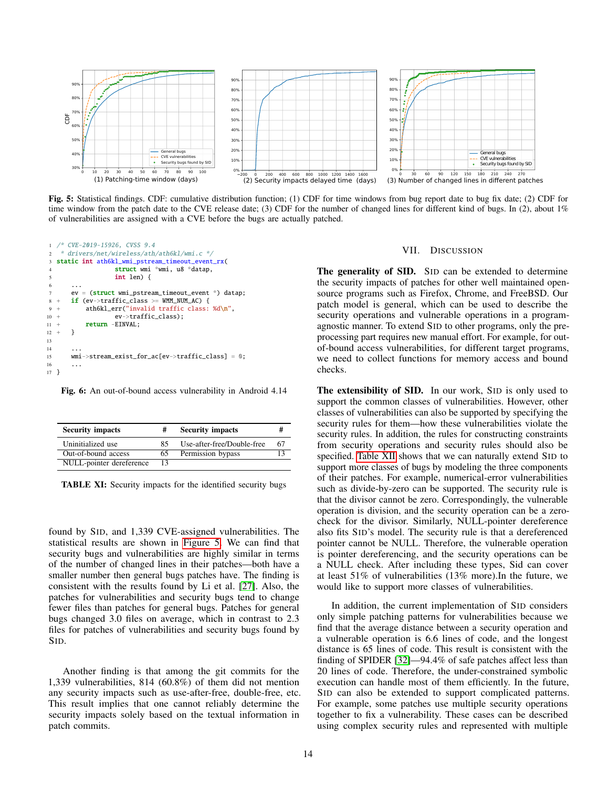<span id="page-13-1"></span>

Fig. 5: Statistical findings. CDF: cumulative distribution function; (1) CDF for time windows from bug report date to bug fix date; (2) CDF for time window from the patch date to the CVE release date; (3) CDF for the number of changed lines for different kind of bugs. In (2), about 1% of vulnerabilities are assigned with a CVE before the bugs are actually patched.

<span id="page-13-2"></span>

Fig. 6: An out-of-bound access vulnerability in Android 4.14

<span id="page-13-3"></span>

| <b>Security impacts</b>  | #  | <b>Security impacts</b>    |    |
|--------------------------|----|----------------------------|----|
| Uninitialized use        | 85 | Use-after-free/Double-free | 67 |
| Out-of-bound access      | 65 | Permission bypass          |    |
| NULL-pointer dereference | 13 |                            |    |

TABLE XI: Security impacts for the identified security bugs

found by SID, and 1,339 CVE-assigned vulnerabilities. The statistical results are shown in [Figure 5.](#page-13-1) We can find that security bugs and vulnerabilities are highly similar in terms of the number of changed lines in their patches—both have a smaller number then general bugs patches have. The finding is consistent with the results found by Li et al. [\[27\]](#page-15-21). Also, the patches for vulnerabilities and security bugs tend to change fewer files than patches for general bugs. Patches for general bugs changed 3.0 files on average, which in contrast to 2.3 files for patches of vulnerabilities and security bugs found by SID.

Another finding is that among the git commits for the 1,339 vulnerabilities, 814 (60.8%) of them did not mention any security impacts such as use-after-free, double-free, etc. This result implies that one cannot reliably determine the security impacts solely based on the textual information in patch commits.

#### VII. DISCUSSION

<span id="page-13-0"></span>The generality of SID. SID can be extended to determine the security impacts of patches for other well maintained opensource programs such as Firefox, Chrome, and FreeBSD. Our patch model is general, which can be used to describe the security operations and vulnerable operations in a programagnostic manner. To extend SID to other programs, only the preprocessing part requires new manual effort. For example, for outof-bound access vulnerabilities, for different target programs, we need to collect functions for memory access and bound checks.

The extensibility of SID. In our work, SID is only used to support the common classes of vulnerabilities. However, other classes of vulnerabilities can also be supported by specifying the security rules for them—how these vulnerabilities violate the security rules. In addition, the rules for constructing constraints from security operations and security rules should also be specified. [Table XII](#page-14-1) shows that we can naturally extend SID to support more classes of bugs by modeling the three components of their patches. For example, numerical-error vulnerabilities such as divide-by-zero can be supported. The security rule is that the divisor cannot be zero. Correspondingly, the vulnerable operation is division, and the security operation can be a zerocheck for the divisor. Similarly, NULL-pointer dereference also fits SID's model. The security rule is that a dereferenced pointer cannot be NULL. Therefore, the vulnerable operation is pointer dereferencing, and the security operations can be a NULL check. After including these types, Sid can cover at least 51% of vulnerabilities (13% more).In the future, we would like to support more classes of vulnerabilities.

In addition, the current implementation of SID considers only simple patching patterns for vulnerabilities because we find that the average distance between a security operation and a vulnerable operation is 6.6 lines of code, and the longest distance is 65 lines of code. This result is consistent with the finding of SPIDER [\[32\]](#page-16-27)—94.4% of safe patches affect less than 20 lines of code. Therefore, the under-constrained symbolic execution can handle most of them efficiently. In the future, SID can also be extended to support complicated patterns. For example, some patches use multiple security operations together to fix a vulnerability. These cases can be described using complex security rules and represented with multiple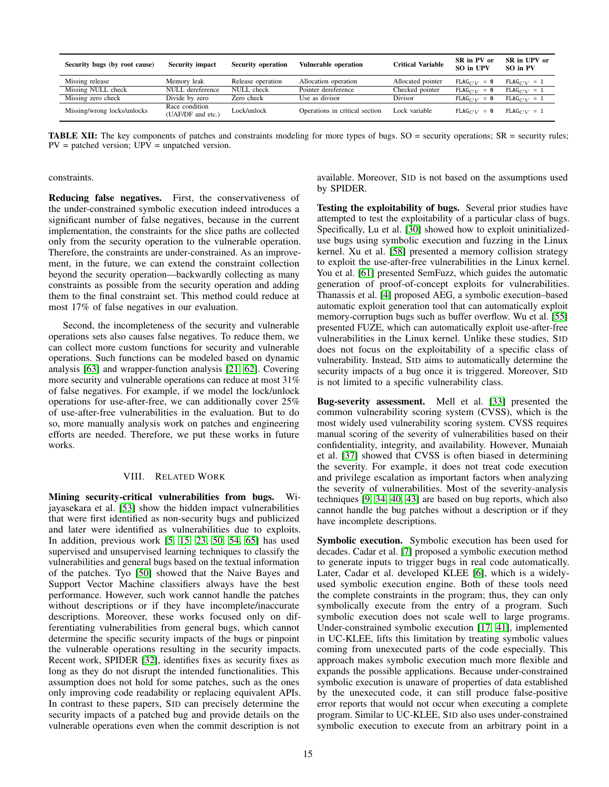<span id="page-14-1"></span>

| Security bugs (by root cause) | Security impact                     | <b>Security operation</b> | <b>Vulnerable operation</b>    | Critical Variable | SR in PV or<br>SO in UPV | SR in UPV or<br>SO in PV |
|-------------------------------|-------------------------------------|---------------------------|--------------------------------|-------------------|--------------------------|--------------------------|
| Missing release               | Memory leak                         | Release operation         | Allocation operation           | Allocated pointer | $FLAG_{CV} = 0$          | $FLAG_{CV} = 1$          |
| Missing NULL check            | NULL dereference                    | NULL check                | Pointer dereference            | Checked pointer   | $FLAG_{CIV} = 0$         | $FLAG_{CV} = 1$          |
| Missing zero check            | Divide by zero                      | Zero check                | Use as divisor                 | Divisor           | $FLAG_{CV} = 0$          | $FLAG_{CV} = 1$          |
| Missing/wrong locks/unlocks   | Race condition<br>(UAF/DF and etc.) | Lock/unlock               | Operations in critical section | Lock variable     | $FLAG_{CV} = 0$          | $FLAG_{CV} = 1$          |

TABLE XII: The key components of patches and constraints modeling for more types of bugs. SO = security operations; SR = security rules;  $PV =$  patched version;  $UPV =$  unpatched version.

constraints.

Reducing false negatives. First, the conservativeness of the under-constrained symbolic execution indeed introduces a significant number of false negatives, because in the current implementation, the constraints for the slice paths are collected only from the security operation to the vulnerable operation. Therefore, the constraints are under-constrained. As an improvement, in the future, we can extend the constraint collection beyond the security operation—backwardly collecting as many constraints as possible from the security operation and adding them to the final constraint set. This method could reduce at most 17% of false negatives in our evaluation.

Second, the incompleteness of the security and vulnerable operations sets also causes false negatives. To reduce them, we can collect more custom functions for security and vulnerable operations. Such functions can be modeled based on dynamic analysis [\[63\]](#page-16-28) and wrapper-function analysis [\[21,](#page-15-23) [62\]](#page-16-19). Covering more security and vulnerable operations can reduce at most 31% of false negatives. For example, if we model the lock/unlock operations for use-after-free, we can additionally cover 25% of use-after-free vulnerabilities in the evaluation. But to do so, more manually analysis work on patches and engineering efforts are needed. Therefore, we put these works in future works.

#### VIII. RELATED WORK

<span id="page-14-0"></span>Mining security-critical vulnerabilities from bugs. Wijayasekara et al. [\[53\]](#page-16-4) show the hidden impact vulnerabilities that were first identified as non-security bugs and publicized and later were identified as vulnerabilities due to exploits. In addition, previous work [\[5,](#page-15-6) [15,](#page-15-24) [23,](#page-15-8) [50,](#page-16-3) [54,](#page-16-5) [65\]](#page-16-6) has used supervised and unsupervised learning techniques to classify the vulnerabilities and general bugs based on the textual information of the patches. Tyo [\[50\]](#page-16-3) showed that the Naive Bayes and Support Vector Machine classifiers always have the best performance. However, such work cannot handle the patches without descriptions or if they have incomplete/inaccurate descriptions. Moreover, these works focused only on differentiating vulnerabilities from general bugs, which cannot determine the specific security impacts of the bugs or pinpoint the vulnerable operations resulting in the security impacts. Recent work, SPIDER [\[32\]](#page-16-27), identifies fixes as security fixes as long as they do not disrupt the intended functionalities. This assumption does not hold for some patches, such as the ones only improving code readability or replacing equivalent APIs. In contrast to these papers, SID can precisely determine the security impacts of a patched bug and provide details on the vulnerable operations even when the commit description is not

available. Moreover, SID is not based on the assumptions used by SPIDER.

Testing the exploitability of bugs. Several prior studies have attempted to test the exploitability of a particular class of bugs. Specifically, Lu et al. [\[30\]](#page-16-29) showed how to exploit uninitializeduse bugs using symbolic execution and fuzzing in the Linux kernel. Xu et al. [\[58\]](#page-16-30) presented a memory collision strategy to exploit the use-after-free vulnerabilities in the Linux kernel. You et al. [\[61\]](#page-16-14) presented SemFuzz, which guides the automatic generation of proof-of-concept exploits for vulnerabilities. Thanassis et al. [\[4\]](#page-15-25) proposed AEG, a symbolic execution–based automatic exploit generation tool that can automatically exploit memory-corruption bugs such as buffer overflow. Wu et al. [\[55\]](#page-16-13) presented FUZE, which can automatically exploit use-after-free vulnerabilities in the Linux kernel. Unlike these studies, SID does not focus on the exploitability of a specific class of vulnerability. Instead, SID aims to automatically determine the security impacts of a bug once it is triggered. Moreover, SID is not limited to a specific vulnerability class.

Bug-severity assessment. Mell et al. [\[33\]](#page-16-31) presented the common vulnerability scoring system (CVSS), which is the most widely used vulnerability scoring system. CVSS requires manual scoring of the severity of vulnerabilities based on their confidentiality, integrity, and availability. However, Munaiah et al. [\[37\]](#page-16-32) showed that CVSS is often biased in determining the severity. For example, it does not treat code execution and privilege escalation as important factors when analyzing the severity of vulnerabilities. Most of the severity-analysis techniques [\[9,](#page-15-26) [34,](#page-16-33) [40,](#page-16-34) [43\]](#page-16-35) are based on bug reports, which also cannot handle the bug patches without a description or if they have incomplete descriptions.

Symbolic execution. Symbolic execution has been used for decades. Cadar et al. [\[7\]](#page-15-27) proposed a symbolic execution method to generate inputs to trigger bugs in real code automatically. Later, Cadar et al. developed KLEE [\[6\]](#page-15-28), which is a widelyused symbolic execution engine. Both of these tools need the complete constraints in the program; thus, they can only symbolically execute from the entry of a program. Such symbolic execution does not scale well to large programs. Under-constrained symbolic execution [\[17,](#page-15-29) [41\]](#page-16-15), implemented in UC-KLEE, lifts this limitation by treating symbolic values coming from unexecuted parts of the code especially. This approach makes symbolic execution much more flexible and expands the possible applications. Because under-constrained symbolic execution is unaware of properties of data established by the unexecuted code, it can still produce false-positive error reports that would not occur when executing a complete program. Similar to UC-KLEE, SID also uses under-constrained symbolic execution to execute from an arbitrary point in a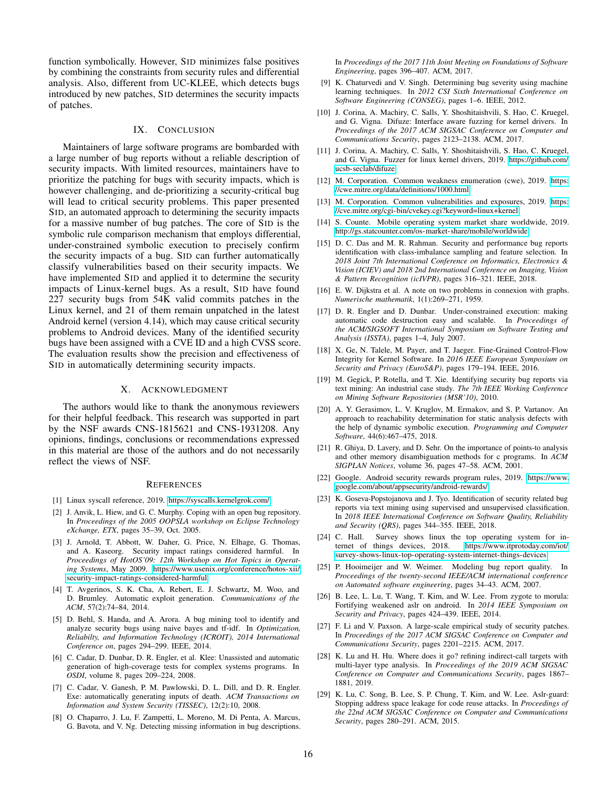function symbolically. However, SID minimizes false positives by combining the constraints from security rules and differential analysis. Also, different from UC-KLEE, which detects bugs introduced by new patches, SID determines the security impacts of patches.

## IX. CONCLUSION

<span id="page-15-10"></span>Maintainers of large software programs are bombarded with a large number of bug reports without a reliable description of security impacts. With limited resources, maintainers have to prioritize the patching for bugs with security impacts, which is however challenging, and de-prioritizing a security-critical bug will lead to critical security problems. This paper presented SID, an automated approach to determining the security impacts for a massive number of bug patches. The core of SID is the symbolic rule comparison mechanism that employs differential, under-constrained symbolic execution to precisely confirm the security impacts of a bug. SID can further automatically classify vulnerabilities based on their security impacts. We have implemented SID and applied it to determine the security impacts of Linux-kernel bugs. As a result, SID have found 227 security bugs from 54K valid commits patches in the Linux kernel, and 21 of them remain unpatched in the latest Android kernel (version 4.14), which may cause critical security problems to Android devices. Many of the identified security bugs have been assigned with a CVE ID and a high CVSS score. The evaluation results show the precision and effectiveness of SID in automatically determining security impacts.

#### X. ACKNOWLEDGMENT

The authors would like to thank the anonymous reviewers for their helpful feedback. This research was supported in part by the NSF awards CNS-1815621 and CNS-1931208. Any opinions, findings, conclusions or recommendations expressed in this material are those of the authors and do not necessarily reflect the views of NSF.

#### **REFERENCES**

- <span id="page-15-17"></span>[1] Linux syscall reference, 2019. [https://syscalls.kernelgrok.com/.](https://syscalls.kernelgrok.com/)
- <span id="page-15-0"></span>[2] J. Anvik, L. Hiew, and G. C. Murphy. Coping with an open bug repository. In *Proceedings of the 2005 OOPSLA workshop on Eclipse Technology eXchange, ETX*, pages 35–39, Oct. 2005.
- <span id="page-15-2"></span>[3] J. Arnold, T. Abbott, W. Daher, G. Price, N. Elhage, G. Thomas, and A. Kaseorg. Security impact ratings considered harmful. In *Proceedings of HotOS'09: 12th Workshop on Hot Topics in Operating Systems*, May 2009. [https://www.usenix.org/conference/hotos-xii/](https://www.usenix.org/conference/hotos-xii/security-impact-ratings-considered-harmful) [security-impact-ratings-considered-harmful.](https://www.usenix.org/conference/hotos-xii/security-impact-ratings-considered-harmful)
- <span id="page-15-25"></span>[4] T. Avgerinos, S. K. Cha, A. Rebert, E. J. Schwartz, M. Woo, and D. Brumley. Automatic exploit generation. *Communications of the ACM*, 57(2):74–84, 2014.
- <span id="page-15-6"></span>[5] D. Behl, S. Handa, and A. Arora. A bug mining tool to identify and analyze security bugs using naive bayes and tf-idf. In *Optimization, Reliabilty, and Information Technology (ICROIT), 2014 International Conference on*, pages 294–299. IEEE, 2014.
- <span id="page-15-28"></span>[6] C. Cadar, D. Dunbar, D. R. Engler, et al. Klee: Unassisted and automatic generation of high-coverage tests for complex systems programs. In *OSDI*, volume 8, pages 209–224, 2008.
- <span id="page-15-27"></span>[7] C. Cadar, V. Ganesh, P. M. Pawlowski, D. L. Dill, and D. R. Engler. Exe: automatically generating inputs of death. *ACM Transactions on Information and System Security (TISSEC)*, 12(2):10, 2008.
- <span id="page-15-9"></span>[8] O. Chaparro, J. Lu, F. Zampetti, L. Moreno, M. Di Penta, A. Marcus, G. Bavota, and V. Ng. Detecting missing information in bug descriptions.

In *Proceedings of the 2017 11th Joint Meeting on Foundations of Software Engineering*, pages 396–407. ACM, 2017.

- <span id="page-15-26"></span>[9] K. Chaturvedi and V. Singh. Determining bug severity using machine learning techniques. In *2012 CSI Sixth International Conference on Software Engineering (CONSEG)*, pages 1–6. IEEE, 2012.
- <span id="page-15-16"></span>[10] J. Corina, A. Machiry, C. Salls, Y. Shoshitaishvili, S. Hao, C. Kruegel, and G. Vigna. Difuze: Interface aware fuzzing for kernel drivers. In *Proceedings of the 2017 ACM SIGSAC Conference on Computer and Communications Security*, pages 2123–2138. ACM, 2017.
- <span id="page-15-18"></span>[11] J. Corina, A. Machiry, C. Salls, Y. Shoshitaishvili, S. Hao, C. Kruegel, and G. Vigna. Fuzzer for linux kernel drivers, 2019. [https://github.com/](https://github.com/ucsb-seclab/difuze) [ucsb-seclab/difuze.](https://github.com/ucsb-seclab/difuze)
- <span id="page-15-11"></span>[12] M. Corporation. Common weakness enumeration (cwe), 2019. [https:](https://cwe.mitre.org/data/definitions/1000.html) [//cwe.mitre.org/data/definitions/1000.html.](https://cwe.mitre.org/data/definitions/1000.html)
- <span id="page-15-22"></span>[13] M. Corporation. Common vulnerabilities and exposures, 2019. [https:](https://cve.mitre.org/cgi-bin/cvekey.cgi?keyword=linux+kernel) [//cve.mitre.org/cgi-bin/cvekey.cgi?keyword=linux+kernel.](https://cve.mitre.org/cgi-bin/cvekey.cgi?keyword=linux+kernel)
- <span id="page-15-4"></span>[14] S. Counte. Mobile operating system market share worldwide, 2019. [http://gs.statcounter.com/os-market-share/mobile/worldwide.](http://gs.statcounter.com/os-market-share/mobile/worldwide)
- <span id="page-15-24"></span>[15] D. C. Das and M. R. Rahman. Security and performance bug reports identification with class-imbalance sampling and feature selection. In *2018 Joint 7th International Conference on Informatics, Electronics & Vision (ICIEV) and 2018 2nd International Conference on Imaging, Vision & Pattern Recognition (icIVPR)*, pages 316–321. IEEE, 2018.
- <span id="page-15-19"></span>[16] E. W. Dijkstra et al. A note on two problems in connexion with graphs. *Numerische mathematik*, 1(1):269–271, 1959.
- <span id="page-15-29"></span>[17] D. R. Engler and D. Dunbar. Under-constrained execution: making automatic code destruction easy and scalable. In *Proceedings of the ACM/SIGSOFT International Symposium on Software Testing and Analysis (ISSTA)*, pages 1–4, July 2007.
- <span id="page-15-12"></span>[18] X. Ge, N. Talele, M. Payer, and T. Jaeger. Fine-Grained Control-Flow Integrity for Kernel Software. In *2016 IEEE European Symposium on Security and Privacy (EuroS&P)*, pages 179–194. IEEE, 2016.
- <span id="page-15-7"></span>[19] M. Gegick, P. Rotella, and T. Xie. Identifying security bug reports via text mining: An industrial case study. *The 7th IEEE Working Conference on Mining Software Repositories (MSR'10)*, 2010.
- <span id="page-15-15"></span>[20] A. Y. Gerasimov, L. V. Kruglov, M. Ermakov, and S. P. Vartanov. An approach to reachability determination for static analysis defects with the help of dynamic symbolic execution. *Programming and Computer Software*, 44(6):467–475, 2018.
- <span id="page-15-23"></span>[21] R. Ghiya, D. Lavery, and D. Sehr. On the importance of points-to analysis and other memory disambiguation methods for c programs. In *ACM SIGPLAN Notices*, volume 36, pages 47–58. ACM, 2001.
- <span id="page-15-5"></span>[22] Google. Android security rewards program rules, 2019. [https://www.](https://www.google.com/about/appsecurity/android-rewards/) [google.com/about/appsecurity/android-rewards/.](https://www.google.com/about/appsecurity/android-rewards/)
- <span id="page-15-8"></span>[23] K. Goseva-Popstojanova and J. Tyo. Identification of security related bug reports via text mining using supervised and unsupervised classification. In *2018 IEEE International Conference on Software Quality, Reliability and Security (QRS)*, pages 344–355. IEEE, 2018.
- <span id="page-15-3"></span>[24] C. Hall. Survey shows linux the top operating system for internet of things devices, 2018. [https://www.itprotoday.com/iot/](https://www.itprotoday.com/iot/survey-shows-linux-top-operating-system-internet-things-devices) [survey-shows-linux-top-operating-system-internet-things-devices.](https://www.itprotoday.com/iot/survey-shows-linux-top-operating-system-internet-things-devices)
- <span id="page-15-1"></span>[25] P. Hooimeijer and W. Weimer. Modeling bug report quality. In *Proceedings of the twenty-second IEEE/ACM international conference on Automated software engineering*, pages 34–43. ACM, 2007.
- <span id="page-15-13"></span>[26] B. Lee, L. Lu, T. Wang, T. Kim, and W. Lee. From zygote to morula: Fortifying weakened aslr on android. In *2014 IEEE Symposium on Security and Privacy*, pages 424–439. IEEE, 2014.
- <span id="page-15-21"></span>[27] F. Li and V. Paxson. A large-scale empirical study of security patches. In *Proceedings of the 2017 ACM SIGSAC Conference on Computer and Communications Security*, pages 2201–2215. ACM, 2017.
- <span id="page-15-20"></span>[28] K. Lu and H. Hu. Where does it go? refining indirect-call targets with multi-layer type analysis. In *Proceedings of the 2019 ACM SIGSAC Conference on Computer and Communications Security*, pages 1867– 1881, 2019.
- <span id="page-15-14"></span>[29] K. Lu, C. Song, B. Lee, S. P. Chung, T. Kim, and W. Lee. Aslr-guard: Stopping address space leakage for code reuse attacks. In *Proceedings of the 22nd ACM SIGSAC Conference on Computer and Communications Security*, pages 280–291. ACM, 2015.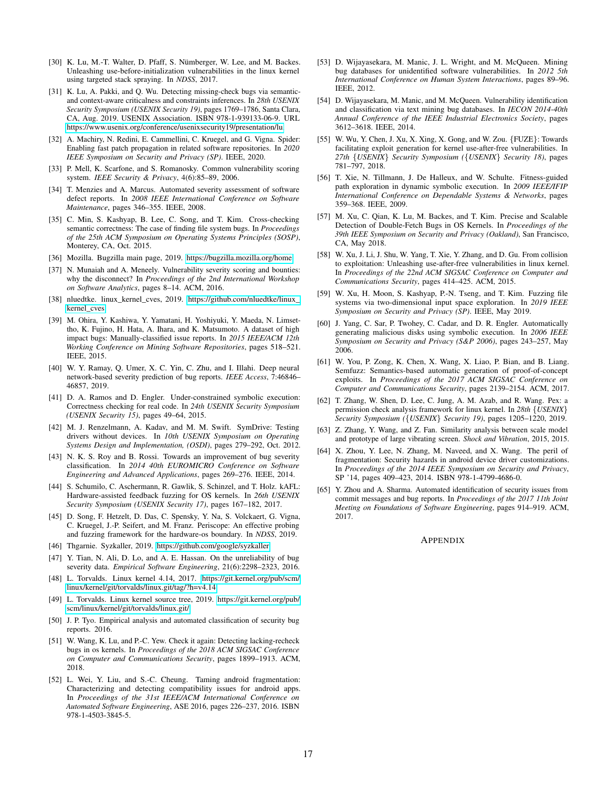- <span id="page-16-29"></span>[30] K. Lu, M.-T. Walter, D. Pfaff, S. Nümberger, W. Lee, and M. Backes. Unleashing use-before-initialization vulnerabilities in the linux kernel using targeted stack spraying. In *NDSS*, 2017.
- <span id="page-16-18"></span>[31] K. Lu, A. Pakki, and Q. Wu. Detecting missing-check bugs via semanticand context-aware criticalness and constraints inferences. In *28th USENIX Security Symposium (USENIX Security 19)*, pages 1769–1786, Santa Clara, CA, Aug. 2019. USENIX Association. ISBN 978-1-939133-06-9. URL [https://www.usenix.org/conference/usenixsecurity19/presentation/lu.](https://www.usenix.org/conference/usenixsecurity19/presentation/lu)
- <span id="page-16-27"></span>[32] A. Machiry, N. Redini, E. Cammellini, C. Kruegel, and G. Vigna. Spider: Enabling fast patch propagation in related software repositories. In *2020 IEEE Symposium on Security and Privacy (SP)*. IEEE, 2020.
- <span id="page-16-31"></span>[33] P. Mell, K. Scarfone, and S. Romanosky. Common vulnerability scoring system. *IEEE Security & Privacy*, 4(6):85–89, 2006.
- <span id="page-16-33"></span>[34] T. Menzies and A. Marcus. Automated severity assessment of software defect reports. In *2008 IEEE International Conference on Software Maintenance*, pages 346–355. IEEE, 2008.
- <span id="page-16-20"></span>[35] C. Min, S. Kashyap, B. Lee, C. Song, and T. Kim. Cross-checking semantic correctness: The case of finding file system bugs. In *Proceedings of the 25th ACM Symposium on Operating Systems Principles (SOSP)*, Monterey, CA, Oct. 2015.
- <span id="page-16-0"></span>[36] Mozilla. Bugzilla main page, 2019. [https://bugzilla.mozilla.org/home.](https://bugzilla.mozilla.org/home)
- <span id="page-16-32"></span>[37] N. Munaiah and A. Meneely. Vulnerability severity scoring and bounties: why the disconnect? In *Proceedings of the 2nd International Workshop on Software Analytics*, pages 8–14. ACM, 2016.
- <span id="page-16-23"></span>[38] nluedtke. linux\_kernel\_cves, 2019. [https://github.com/nluedtke/linux\\_](https://github.com/nluedtke/linux_kernel_cves) kernel cves.
- <span id="page-16-2"></span>[39] M. Ohira, Y. Kashiwa, Y. Yamatani, H. Yoshiyuki, Y. Maeda, N. Limsettho, K. Fujino, H. Hata, A. Ihara, and K. Matsumoto. A dataset of high impact bugs: Manually-classified issue reports. In *2015 IEEE/ACM 12th Working Conference on Mining Software Repositories*, pages 518–521. IEEE, 2015.
- <span id="page-16-34"></span>[40] W. Y. Ramay, Q. Umer, X. C. Yin, C. Zhu, and I. Illahi. Deep neural network-based severity prediction of bug reports. *IEEE Access*, 7:46846– 46857, 2019.
- <span id="page-16-15"></span>[41] D. A. Ramos and D. Engler. Under-constrained symbolic execution: Correctness checking for real code. In *24th USENIX Security Symposium (USENIX Security 15)*, pages 49–64, 2015.
- <span id="page-16-10"></span>[42] M. J. Renzelmann, A. Kadav, and M. M. Swift. SymDrive: Testing drivers without devices. In *10th USENIX Symposium on Operating Systems Design and Implementation, (OSDI)*, pages 279–292, Oct. 2012.
- <span id="page-16-35"></span>[43] N. K. S. Roy and B. Rossi. Towards an improvement of bug severity classification. In *2014 40th EUROMICRO Conference on Software Engineering and Advanced Applications*, pages 269–276. IEEE, 2014.
- <span id="page-16-8"></span>[44] S. Schumilo, C. Aschermann, R. Gawlik, S. Schinzel, and T. Holz. kAFL: Hardware-assisted feedback fuzzing for OS kernels. In *26th USENIX Security Symposium (USENIX Security 17)*, pages 167–182, 2017.
- <span id="page-16-22"></span>[45] D. Song, F. Hetzelt, D. Das, C. Spensky, Y. Na, S. Volckaert, G. Vigna, C. Kruegel, J.-P. Seifert, and M. Franz. Periscope: An effective probing and fuzzing framework for the hardware-os boundary. In *NDSS*, 2019.
- <span id="page-16-21"></span>[46] Thgarnie. Syzkaller, 2019. [https://github.com/google/syzkaller.](https://github.com/google/syzkaller)
- <span id="page-16-7"></span>[47] Y. Tian, N. Ali, D. Lo, and A. E. Hassan. On the unreliability of bug severity data. *Empirical Software Engineering*, 21(6):2298–2323, 2016.
- <span id="page-16-26"></span>[48] L. Torvalds. Linux kernel 4.14, 2017. [https://git.kernel.org/pub/scm/](https://git.kernel.org/pub/scm/linux/kernel/git/torvalds/linux.git/tag/?h=v4.14) [linux/kernel/git/torvalds/linux.git/tag/?h=v4.14.](https://git.kernel.org/pub/scm/linux/kernel/git/torvalds/linux.git/tag/?h=v4.14)
- <span id="page-16-1"></span>[49] L. Torvalds. Linux kernel source tree, 2019. [https://git.kernel.org/pub/](https://git.kernel.org/pub/scm/linux/kernel/git/torvalds/linux.git/) [scm/linux/kernel/git/torvalds/linux.git/.](https://git.kernel.org/pub/scm/linux/kernel/git/torvalds/linux.git/)
- <span id="page-16-3"></span>[50] J. P. Tyo. Empirical analysis and automated classification of security bug reports. 2016.
- <span id="page-16-12"></span>[51] W. Wang, K. Lu, and P.-C. Yew. Check it again: Detecting lacking-recheck bugs in os kernels. In *Proceedings of the 2018 ACM SIGSAC Conference on Computer and Communications Security*, pages 1899–1913. ACM, 2018.
- <span id="page-16-24"></span>[52] L. Wei, Y. Liu, and S.-C. Cheung. Taming android fragmentation: Characterizing and detecting compatibility issues for android apps. In *Proceedings of the 31st IEEE/ACM International Conference on Automated Software Engineering*, ASE 2016, pages 226–237, 2016. ISBN 978-1-4503-3845-5.
- <span id="page-16-4"></span>[53] D. Wijayasekara, M. Manic, J. L. Wright, and M. McQueen. Mining bug databases for unidentified software vulnerabilities. In *2012 5th International Conference on Human System Interactions*, pages 89–96. IEEE, 2012.
- <span id="page-16-5"></span>[54] D. Wijayasekara, M. Manic, and M. McQueen. Vulnerability identification and classification via text mining bug databases. In *IECON 2014-40th Annual Conference of the IEEE Industrial Electronics Society*, pages 3612–3618. IEEE, 2014.
- <span id="page-16-13"></span>[55] W. Wu, Y. Chen, J. Xu, X. Xing, X. Gong, and W. Zou. {FUZE}: Towards facilitating exploit generation for kernel use-after-free vulnerabilities. In *27th* {*USENIX*} *Security Symposium (*{*USENIX*} *Security 18)*, pages 781–797, 2018.
- <span id="page-16-16"></span>[56] T. Xie, N. Tillmann, J. De Halleux, and W. Schulte. Fitness-guided path exploration in dynamic symbolic execution. In *2009 IEEE/IFIP International Conference on Dependable Systems & Networks*, pages 359–368. IEEE, 2009.
- <span id="page-16-17"></span>[57] M. Xu, C. Qian, K. Lu, M. Backes, and T. Kim. Precise and Scalable Detection of Double-Fetch Bugs in OS Kernels. In *Proceedings of the 39th IEEE Symposium on Security and Privacy (Oakland)*, San Francisco, CA, May 2018.
- <span id="page-16-30"></span>[58] W. Xu, J. Li, J. Shu, W. Yang, T. Xie, Y. Zhang, and D. Gu. From collision to exploitation: Unleashing use-after-free vulnerabilities in linux kernel. In *Proceedings of the 22nd ACM SIGSAC Conference on Computer and Communications Security*, pages 414–425. ACM, 2015.
- <span id="page-16-9"></span>[59] W. Xu, H. Moon, S. Kashyap, P.-N. Tseng, and T. Kim. Fuzzing file systems via two-dimensional input space exploration. In *2019 IEEE Symposium on Security and Privacy (SP)*. IEEE, May 2019.
- <span id="page-16-11"></span>[60] J. Yang, C. Sar, P. Twohey, C. Cadar, and D. R. Engler. Automatically generating malicious disks using symbolic execution. In *2006 IEEE Symposium on Security and Privacy (S&P 2006)*, pages 243–257, May 2006.
- <span id="page-16-14"></span>[61] W. You, P. Zong, K. Chen, X. Wang, X. Liao, P. Bian, and B. Liang. Semfuzz: Semantics-based automatic generation of proof-of-concept exploits. In *Proceedings of the 2017 ACM SIGSAC Conference on Computer and Communications Security*, pages 2139–2154. ACM, 2017.
- <span id="page-16-19"></span>[62] T. Zhang, W. Shen, D. Lee, C. Jung, A. M. Azab, and R. Wang. Pex: a permission check analysis framework for linux kernel. In *28th* {*USENIX*} *Security Symposium (*{*USENIX*} *Security 19)*, pages 1205–1220, 2019.
- <span id="page-16-28"></span>[63] Z. Zhang, Y. Wang, and Z. Fan. Similarity analysis between scale model and prototype of large vibrating screen. *Shock and Vibration*, 2015, 2015.
- <span id="page-16-25"></span>[64] X. Zhou, Y. Lee, N. Zhang, M. Naveed, and X. Wang. The peril of fragmentation: Security hazards in android device driver customizations. In *Proceedings of the 2014 IEEE Symposium on Security and Privacy*, SP '14, pages 409–423, 2014. ISBN 978-1-4799-4686-0.
- <span id="page-16-6"></span>[65] Y. Zhou and A. Sharma. Automated identification of security issues from commit messages and bug reports. In *Proceedings of the 2017 11th Joint Meeting on Foundations of Software Engineering*, pages 914–919. ACM, 2017.

### APPENDIX